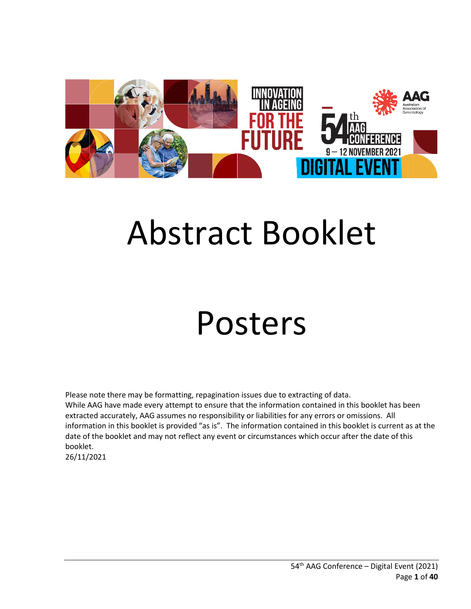

# Abstract Booklet

## Posters

Please note there may be formatting, repagination issues due to extracting of data. While AAG have made every attempt to ensure that the information contained in this booklet has been extracted accurately, AAG assumes no responsibility or liabilities for any errors or omissions. All information in this booklet is provided "as is". The information contained in this booklet is current as at the date of the booklet and may not reflect any event or circumstances which occur after the date of this booklet. 26/11/2021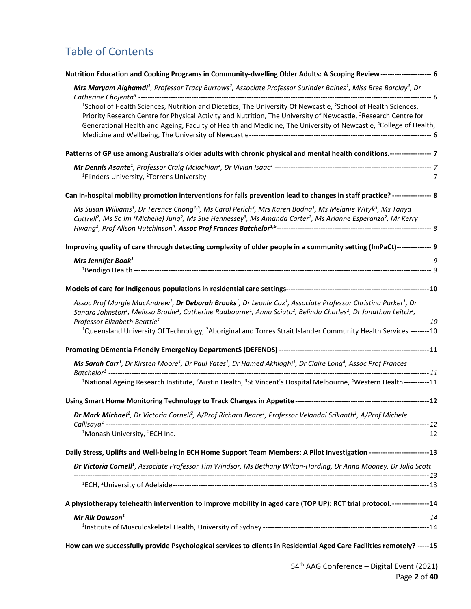## Table of Contents

| Nutrition Education and Cooking Programs in Community-dwelling Older Adults: A Scoping Review-------------------- 6                                                                                                                                                                                                                                                                                  |  |
|------------------------------------------------------------------------------------------------------------------------------------------------------------------------------------------------------------------------------------------------------------------------------------------------------------------------------------------------------------------------------------------------------|--|
| Mrs Maryam Alghamdi <sup>1</sup> , Professor Tracy Burrows <sup>2</sup> , Associate Professor Surinder Baines <sup>1</sup> , Miss Bree Barclay <sup>4</sup> , Dr                                                                                                                                                                                                                                     |  |
| <sup>1</sup> School of Health Sciences, Nutrition and Dietetics, The University Of Newcastle, <sup>2</sup> School of Health Sciences,<br>Priority Research Centre for Physical Activity and Nutrition, The University of Newcastle, <sup>3</sup> Research Centre for<br>Generational Health and Ageing, Faculty of Health and Medicine, The University of Newcastle, <sup>4</sup> College of Health, |  |
| Patterns of GP use among Australia's older adults with chronic physical and mental health conditions.----------------- 7                                                                                                                                                                                                                                                                             |  |
|                                                                                                                                                                                                                                                                                                                                                                                                      |  |
| Can in-hospital mobility promotion interventions for falls prevention lead to changes in staff practice? ----------------- 8                                                                                                                                                                                                                                                                         |  |
| Ms Susan Williams <sup>1</sup> , Dr Terence Chong <sup>2,5</sup> , Ms Carol Perich <sup>3</sup> , Mrs Karen Bodna <sup>1</sup> , Ms Melanie Wityk <sup>3</sup> , Ms Tanya<br>Cottrell <sup>2</sup> , Ms So Im (Michelle) Jung <sup>2</sup> , Ms Sue Hennessey <sup>3</sup> , Ms Amanda Carter <sup>2</sup> , Ms Arianne Esperanza <sup>2</sup> , Mr Kerry                                            |  |
| Improving quality of care through detecting complexity of older people in a community setting (ImPaCt)--------------- 9                                                                                                                                                                                                                                                                              |  |
|                                                                                                                                                                                                                                                                                                                                                                                                      |  |
|                                                                                                                                                                                                                                                                                                                                                                                                      |  |
| Assoc Prof Margie MacAndrew <sup>1</sup> , Dr Deborah Brooks <sup>1</sup> , Dr Leonie Cox <sup>1</sup> , Associate Professor Christina Parker <sup>1</sup> , Dr<br>Sandra Johnston <sup>1</sup> , Melissa Brodie <sup>1</sup> , Catherine Radbourne <sup>1</sup> , Anna Sciuto <sup>2</sup> , Belinda Charles <sup>2</sup> , Dr Jonathan Leitch <sup>2</sup> ,                                       |  |
| <sup>1</sup> Queensland University Of Technology, <sup>2</sup> Aboriginal and Torres Strait Islander Community Health Services --------10                                                                                                                                                                                                                                                            |  |
|                                                                                                                                                                                                                                                                                                                                                                                                      |  |
| Ms Sarah Carr <sup>1</sup> , Dr Kirsten Moore <sup>1</sup> , Dr Paul Yates <sup>2</sup> , Dr Hamed Akhlaghi <sup>3</sup> , Dr Claire Long <sup>4</sup> , Assoc Prof Frances                                                                                                                                                                                                                          |  |
| <sup>1</sup> National Ageing Research Institute, <sup>2</sup> Austin Health, <sup>3</sup> St Vincent's Hospital Melbourne, <sup>4</sup> Western Health-----------11                                                                                                                                                                                                                                  |  |
|                                                                                                                                                                                                                                                                                                                                                                                                      |  |
| Dr Mark Michael <sup>1</sup> , Dr Victoria Cornell <sup>2</sup> , A/Prof Richard Beare <sup>1</sup> , Professor Velandai Srikanth <sup>1</sup> , A/Prof Michele                                                                                                                                                                                                                                      |  |
|                                                                                                                                                                                                                                                                                                                                                                                                      |  |
| Daily Stress, Uplifts and Well-being in ECH Home Support Team Members: A Pilot Investigation -------------------------13                                                                                                                                                                                                                                                                             |  |
| Dr Victoria Cornell <sup>1</sup> , Associate Professor Tim Windsor, Ms Bethany Wilton-Harding, Dr Anna Mooney, Dr Julia Scott                                                                                                                                                                                                                                                                        |  |
|                                                                                                                                                                                                                                                                                                                                                                                                      |  |
| A physiotherapy telehealth intervention to improve mobility in aged care (TOP UP): RCT trial protocol.---------------14                                                                                                                                                                                                                                                                              |  |
|                                                                                                                                                                                                                                                                                                                                                                                                      |  |
|                                                                                                                                                                                                                                                                                                                                                                                                      |  |
|                                                                                                                                                                                                                                                                                                                                                                                                      |  |

**[How can we successfully provide Psychological services to clients in Residential Aged Care Facilities remotely?](#page-14-0) -----15**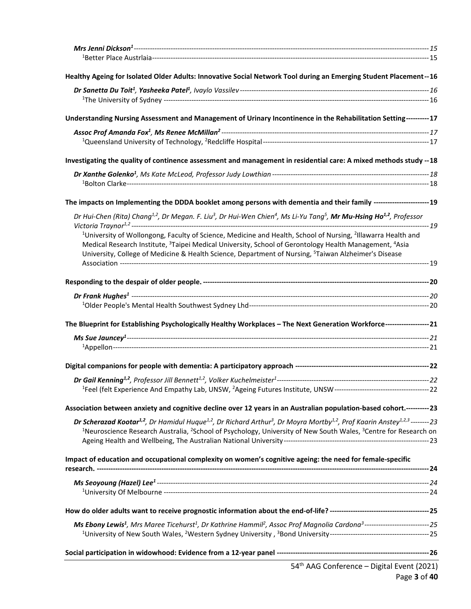| Healthy Ageing for Isolated Older Adults: Innovative Social Network Tool during an Emerging Student Placement--16                                                                                                                                                                                                                                                                          |  |
|--------------------------------------------------------------------------------------------------------------------------------------------------------------------------------------------------------------------------------------------------------------------------------------------------------------------------------------------------------------------------------------------|--|
|                                                                                                                                                                                                                                                                                                                                                                                            |  |
| Understanding Nursing Assessment and Management of Urinary Incontinence in the Rehabilitation Setting---------17                                                                                                                                                                                                                                                                           |  |
|                                                                                                                                                                                                                                                                                                                                                                                            |  |
| Investigating the quality of continence assessment and management in residential care: A mixed methods study --18                                                                                                                                                                                                                                                                          |  |
|                                                                                                                                                                                                                                                                                                                                                                                            |  |
| The impacts on Implementing the DDDA booklet among persons with dementia and their family ------------------------19                                                                                                                                                                                                                                                                       |  |
| Dr Hui-Chen (Rita) Chang <sup>1,2</sup> , Dr Megan. F. Liu <sup>3</sup> , Dr Hui-Wen Chien <sup>4</sup> , Ms Li-Yu Tang <sup>5</sup> , Mr Mu-Hsing Ho <sup>1,2</sup> , Professor                                                                                                                                                                                                           |  |
| <sup>1</sup> University of Wollongong, Faculty of Science, Medicine and Health, School of Nursing, <sup>2</sup> Illawarra Health and<br>Medical Research Institute, <sup>3</sup> Taipei Medical University, School of Gerontology Health Management, <sup>4</sup> Asia<br>University, College of Medicine & Health Science, Department of Nursing, <sup>5</sup> Taiwan Alzheimer's Disease |  |
|                                                                                                                                                                                                                                                                                                                                                                                            |  |
|                                                                                                                                                                                                                                                                                                                                                                                            |  |
|                                                                                                                                                                                                                                                                                                                                                                                            |  |
| The Blueprint for Establishing Psychologically Healthy Workplaces - The Next Generation Workforce------------------21                                                                                                                                                                                                                                                                      |  |
|                                                                                                                                                                                                                                                                                                                                                                                            |  |
|                                                                                                                                                                                                                                                                                                                                                                                            |  |
|                                                                                                                                                                                                                                                                                                                                                                                            |  |
|                                                                                                                                                                                                                                                                                                                                                                                            |  |
| Association between anxiety and cognitive decline over 12 years in an Australian population-based cohort.----------23                                                                                                                                                                                                                                                                      |  |
| Dr Scherazad Kootar <sup>1,2</sup> , Dr Hamidul Huque <sup>1,2</sup> , Dr Richard Arthur <sup>3</sup> , Dr Moyra Mortby <sup>1,2</sup> , Prof Kaarin Anstey <sup>1,2,3</sup> --------23<br><sup>1</sup> Neuroscience Research Australia, <sup>2</sup> School of Psychology, University of New South Wales, <sup>3</sup> Centre for Research on                                             |  |
| Impact of education and occupational complexity on women's cognitive ageing: the need for female-specific                                                                                                                                                                                                                                                                                  |  |
|                                                                                                                                                                                                                                                                                                                                                                                            |  |
|                                                                                                                                                                                                                                                                                                                                                                                            |  |
| Ms Ebony Lewis <sup>1</sup> , Mrs Maree Ticehurst <sup>1</sup> , Dr Kathrine Hammil <sup>2</sup> , Assoc Prof Magnolia Cardona <sup>3</sup> -----------------------------25                                                                                                                                                                                                                |  |
|                                                                                                                                                                                                                                                                                                                                                                                            |  |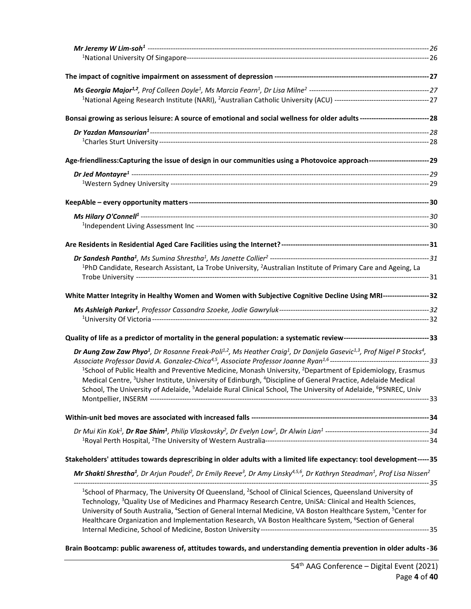| Bonsai growing as serious leisure: A source of emotional and social wellness for older adults ---------------------------------28                                                                |         |
|--------------------------------------------------------------------------------------------------------------------------------------------------------------------------------------------------|---------|
|                                                                                                                                                                                                  |         |
|                                                                                                                                                                                                  |         |
| Age-friendliness:Capturing the issue of design in our communities using a Photovoice approach--------------------------29                                                                        |         |
|                                                                                                                                                                                                  |         |
|                                                                                                                                                                                                  |         |
|                                                                                                                                                                                                  |         |
|                                                                                                                                                                                                  |         |
|                                                                                                                                                                                                  |         |
|                                                                                                                                                                                                  |         |
|                                                                                                                                                                                                  |         |
|                                                                                                                                                                                                  |         |
| <sup>1</sup> PhD Candidate, Research Assistant, La Trobe University, <sup>2</sup> Australian Institute of Primary Care and Ageing, La                                                            |         |
|                                                                                                                                                                                                  |         |
| White Matter Integrity in Healthy Women and Women with Subjective Cognitive Decline Using MRI--------------------32                                                                              |         |
|                                                                                                                                                                                                  |         |
|                                                                                                                                                                                                  |         |
|                                                                                                                                                                                                  |         |
|                                                                                                                                                                                                  |         |
| Dr Aung Zaw Zaw Phyo <sup>1</sup> , Dr Rosanne Freak-Poli <sup>1,2</sup> , Ms Heather Craig <sup>1</sup> , Dr Danijela Gasevic <sup>1,3</sup> , Prof Nigel P Stocks <sup>4</sup> ,               |         |
| <sup>1</sup> School of Public Health and Preventive Medicine, Monash University, <sup>2</sup> Department of Epidemiology, Erasmus                                                                |         |
| Medical Centre, <sup>3</sup> Usher Institute, University of Edinburgh, <sup>4</sup> Discipline of General Practice, Adelaide Medical                                                             |         |
| School, The University of Adelaide, <sup>5</sup> Adelaide Rural Clinical School, The University of Adelaide, <sup>6</sup> PSNREC, Univ                                                           |         |
|                                                                                                                                                                                                  |         |
|                                                                                                                                                                                                  |         |
|                                                                                                                                                                                                  |         |
|                                                                                                                                                                                                  |         |
|                                                                                                                                                                                                  |         |
| Stakeholders' attitudes towards deprescribing in older adults with a limited life expectancy: tool development-----35                                                                            |         |
| Mr Shakti Shrestha <sup>1</sup> , Dr Arjun Poudel <sup>2</sup> , Dr Emily Reeve <sup>3</sup> , Dr Amy Linsky <sup>4,5,6</sup> , Dr Kathryn Steadman <sup>1</sup> , Prof Lisa Nissen <sup>2</sup> |         |
| <sup>1</sup> School of Pharmacy, The University Of Queensland, <sup>2</sup> School of Clinical Sciences, Queensland University of                                                                | ---- 35 |
| Technology, <sup>3</sup> Quality Use of Medicines and Pharmacy Research Centre, UniSA: Clinical and Health Sciences,                                                                             |         |
| University of South Australia, <sup>4</sup> Section of General Internal Medicine, VA Boston Healthcare System, <sup>5</sup> Center for                                                           |         |
| Healthcare Organization and Implementation Research, VA Boston Healthcare System, <sup>6</sup> Section of General                                                                                |         |
|                                                                                                                                                                                                  |         |
| Brain Bootcamp: public awareness of, attitudes towards, and understanding dementia prevention in older adults -36                                                                                |         |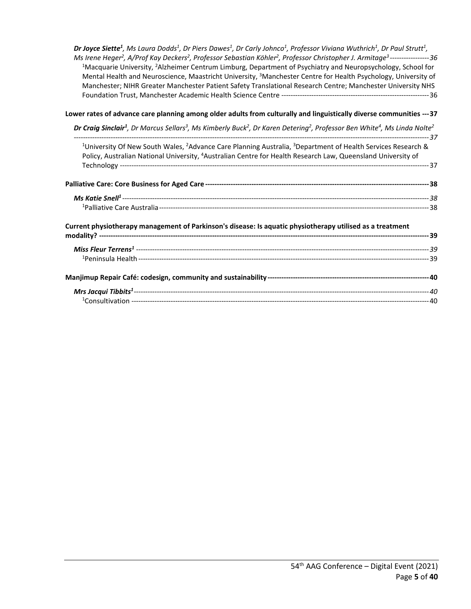*Dr Joyce Siette1 , Ms Laura Dodds1 , Dr Piers Dawes1 , Dr Carly Johnco1 [, Professor Viviana Wuthrich1](#page-35-1) , Dr Paul Strutt1 , Ms Irene Heger2 , A/Prof Kay Deckers2 , Professor Sebastian Köhler2 [, Professor Christopher J. Armitage3](#page-35-1) -----------------36* <sup>1</sup>Macquarie University, <sup>2</sup>Alzheimer Centrum Limburg, Department of Psychiatry and Neuropsychology, School for Mental Health and Neuroscience, Maastricht University, <sup>3</sup>Manchester Centre for Health Psychology, University of [Manchester; NIHR Greater Manchester Patient Safety Translational Research Centre; Manchester University NHS](#page-35-2)  [Foundation Trust, Manchester Academic Health Science Centre](#page-35-2) ----------------------------------------------------------------36

#### **[Lower rates of advance care planning among older adults from culturally and linguistically diverse communities](#page-36-0) ---37**

*Dr Craig Sinclair1 , Dr Marcus Sellars3 , Ms Kimberly Buck2 , Dr Karen Detering2 [, Professor Ben White4](#page-36-1) , Ms Linda Nolte2*

| <sup>1</sup> University Of New South Wales, <sup>2</sup> Advance Care Planning Australia, <sup>3</sup> Department of Health Services Research & |  |
|-------------------------------------------------------------------------------------------------------------------------------------------------|--|
| Policy, Australian National University, <sup>4</sup> Australian Centre for Health Research Law, Queensland University of                        |  |
|                                                                                                                                                 |  |
|                                                                                                                                                 |  |
|                                                                                                                                                 |  |
|                                                                                                                                                 |  |
| Current physiotherapy management of Parkinson's disease: Is aquatic physiotherapy utilised as a treatment                                       |  |
|                                                                                                                                                 |  |
|                                                                                                                                                 |  |
|                                                                                                                                                 |  |
|                                                                                                                                                 |  |
| - 2011/07/12012/12012/12012/12012/12012/12012/12012/12012/12012/12012                                                                           |  |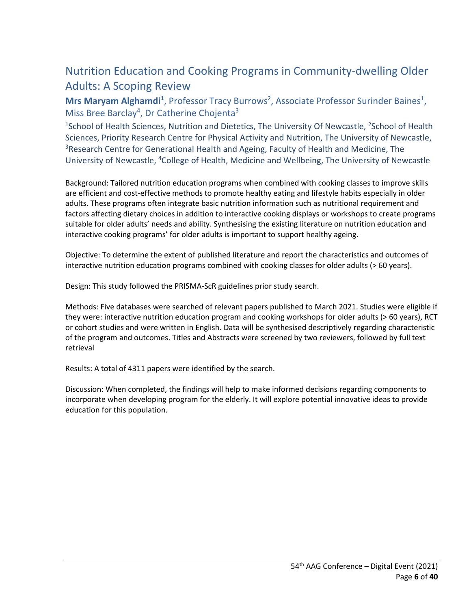## <span id="page-5-0"></span>Nutrition Education and Cooking Programs in Community-dwelling Older Adults: A Scoping Review

<span id="page-5-1"></span>Mrs Maryam Alghamdi<sup>1</sup>, Professor Tracy Burrows<sup>2</sup>, Associate Professor Surinder Baines<sup>1</sup>, Miss Bree Barclay<sup>4</sup>, Dr Catherine Chojenta<sup>3</sup>

<span id="page-5-2"></span><sup>1</sup>School of Health Sciences, Nutrition and Dietetics, The University Of Newcastle, <sup>2</sup>School of Health Sciences, Priority Research Centre for Physical Activity and Nutrition, The University of Newcastle, <sup>3</sup>Research Centre for Generational Health and Ageing, Faculty of Health and Medicine, The University of Newcastle, 4College of Health, Medicine and Wellbeing, The University of Newcastle

Background: Tailored nutrition education programs when combined with cooking classes to improve skills are efficient and cost-effective methods to promote healthy eating and lifestyle habits especially in older adults. These programs often integrate basic nutrition information such as nutritional requirement and factors affecting dietary choices in addition to interactive cooking displays or workshops to create programs suitable for older adults' needs and ability. Synthesising the existing literature on nutrition education and interactive cooking programs' for older adults is important to support healthy ageing.

Objective: To determine the extent of published literature and report the characteristics and outcomes of interactive nutrition education programs combined with cooking classes for older adults (> 60 years).

Design: This study followed the PRISMA-ScR guidelines prior study search.

Methods: Five databases were searched of relevant papers published to March 2021. Studies were eligible if they were: interactive nutrition education program and cooking workshops for older adults (> 60 years), RCT or cohort studies and were written in English. Data will be synthesised descriptively regarding characteristic of the program and outcomes. Titles and Abstracts were screened by two reviewers, followed by full text retrieval

Results: A total of 4311 papers were identified by the search.

Discussion: When completed, the findings will help to make informed decisions regarding components to incorporate when developing program for the elderly. It will explore potential innovative ideas to provide education for this population.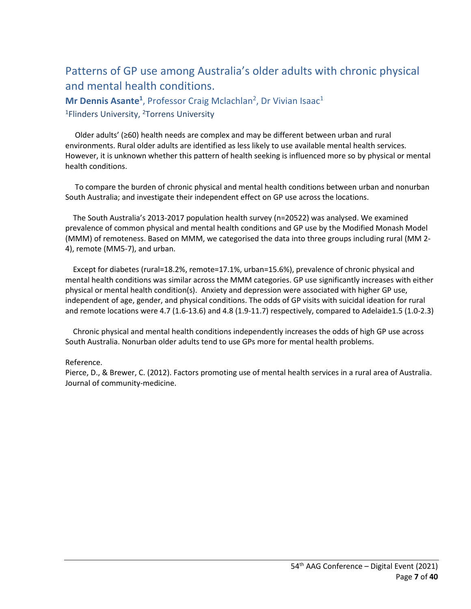## <span id="page-6-0"></span>Patterns of GP use among Australia's older adults with chronic physical and mental health conditions.

<span id="page-6-2"></span><span id="page-6-1"></span>Mr Dennis Asante<sup>1</sup>, Professor Craig Mclachlan<sup>2</sup>, Dr Vivian Isaac<sup>1</sup> <sup>1</sup>Flinders University, <sup>2</sup>Torrens University

 Older adults' (≥60) health needs are complex and may be different between urban and rural environments. Rural older adults are identified as less likely to use available mental health services. However, it is unknown whether this pattern of health seeking is influenced more so by physical or mental health conditions.

 To compare the burden of chronic physical and mental health conditions between urban and nonurban South Australia; and investigate their independent effect on GP use across the locations.

 The South Australia's 2013-2017 population health survey (n=20522) was analysed. We examined prevalence of common physical and mental health conditions and GP use by the Modified Monash Model (MMM) of remoteness. Based on MMM, we categorised the data into three groups including rural (MM 2- 4), remote (MM5-7), and urban.

 Except for diabetes (rural=18.2%, remote=17.1%, urban=15.6%), prevalence of chronic physical and mental health conditions was similar across the MMM categories. GP use significantly increases with either physical or mental health condition(s). Anxiety and depression were associated with higher GP use, independent of age, gender, and physical conditions. The odds of GP visits with suicidal ideation for rural and remote locations were 4.7 (1.6-13.6) and 4.8 (1.9-11.7) respectively, compared to Adelaide1.5 (1.0-2.3)

 Chronic physical and mental health conditions independently increases the odds of high GP use across South Australia. Nonurban older adults tend to use GPs more for mental health problems.

#### Reference.

Pierce, D., & Brewer, C. (2012). Factors promoting use of mental health services in a rural area of Australia. Journal of community-medicine.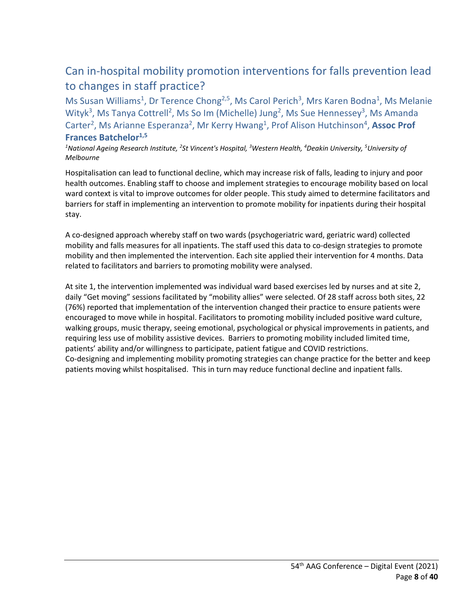## <span id="page-7-0"></span>Can in-hospital mobility promotion interventions for falls prevention lead to changes in staff practice?

<span id="page-7-1"></span>Ms Susan Williams<sup>1</sup>, Dr Terence Chong<sup>2,5</sup>, Ms Carol Perich<sup>3</sup>, Mrs Karen Bodna<sup>1</sup>, Ms Melanie Wityk<sup>3</sup>, Ms Tanya Cottrell<sup>2</sup>, Ms So Im (Michelle) Jung<sup>2</sup>, Ms Sue Hennessey<sup>3</sup>, Ms Amanda Carter<sup>2</sup>, Ms Arianne Esperanza<sup>2</sup>, Mr Kerry Hwang<sup>1</sup>, Prof Alison Hutchinson<sup>4</sup>, Assoc Prof **Frances Batchelor1,5**

*1 National Ageing Research Institute, 2 St Vincent's Hospital, 3 Western Health, 4 Deakin University, 5 University of Melbourne*

Hospitalisation can lead to functional decline, which may increase risk of falls, leading to injury and poor health outcomes. Enabling staff to choose and implement strategies to encourage mobility based on local ward context is vital to improve outcomes for older people. This study aimed to determine facilitators and barriers for staff in implementing an intervention to promote mobility for inpatients during their hospital stay.

A co-designed approach whereby staff on two wards (psychogeriatric ward, geriatric ward) collected mobility and falls measures for all inpatients. The staff used this data to co-design strategies to promote mobility and then implemented the intervention. Each site applied their intervention for 4 months. Data related to facilitators and barriers to promoting mobility were analysed.

At site 1, the intervention implemented was individual ward based exercises led by nurses and at site 2, daily "Get moving" sessions facilitated by "mobility allies" were selected. Of 28 staff across both sites, 22 (76%) reported that implementation of the intervention changed their practice to ensure patients were encouraged to move while in hospital. Facilitators to promoting mobility included positive ward culture, walking groups, music therapy, seeing emotional, psychological or physical improvements in patients, and requiring less use of mobility assistive devices. Barriers to promoting mobility included limited time, patients' ability and/or willingness to participate, patient fatigue and COVID restrictions. Co-designing and implementing mobility promoting strategies can change practice for the better and keep patients moving whilst hospitalised. This in turn may reduce functional decline and inpatient falls.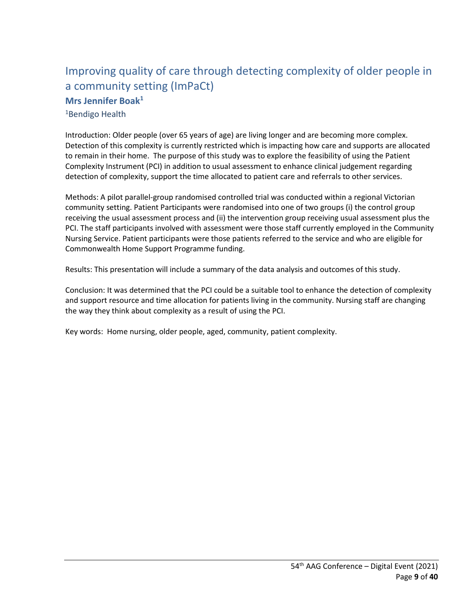## <span id="page-8-0"></span>Improving quality of care through detecting complexity of older people in a community setting (ImPaCt) **Mrs Jennifer Boak1**

<span id="page-8-2"></span><span id="page-8-1"></span>1Bendigo Health

Introduction: Older people (over 65 years of age) are living longer and are becoming more complex. Detection of this complexity is currently restricted which is impacting how care and supports are allocated to remain in their home. The purpose of this study was to explore the feasibility of using the Patient Complexity Instrument (PCI) in addition to usual assessment to enhance clinical judgement regarding detection of complexity, support the time allocated to patient care and referrals to other services.

Methods: A pilot parallel-group randomised controlled trial was conducted within a regional Victorian community setting. Patient Participants were randomised into one of two groups (i) the control group receiving the usual assessment process and (ii) the intervention group receiving usual assessment plus the PCI. The staff participants involved with assessment were those staff currently employed in the Community Nursing Service. Patient participants were those patients referred to the service and who are eligible for Commonwealth Home Support Programme funding.

Results: This presentation will include a summary of the data analysis and outcomes of this study.

Conclusion: It was determined that the PCI could be a suitable tool to enhance the detection of complexity and support resource and time allocation for patients living in the community. Nursing staff are changing the way they think about complexity as a result of using the PCI.

Key words: Home nursing, older people, aged, community, patient complexity.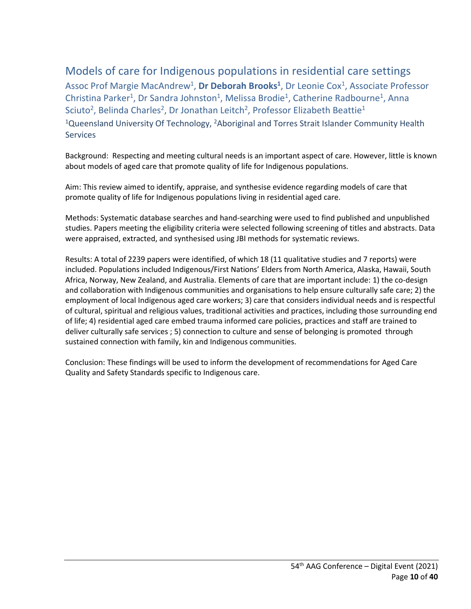## <span id="page-9-0"></span>Models of care for Indigenous populations in residential care settings

<span id="page-9-1"></span>Assoc Prof Margie MacAndrew<sup>1</sup>, Dr Deborah Brooks<sup>1</sup>, Dr Leonie Cox<sup>1</sup>, Associate Professor Christina Parker<sup>1</sup>, Dr Sandra Johnston<sup>1</sup>, Melissa Brodie<sup>1</sup>, Catherine Radbourne<sup>1</sup>, Anna Sciuto<sup>2</sup>, Belinda Charles<sup>2</sup>, Dr Jonathan Leitch<sup>2</sup>, Professor Elizabeth Beattie<sup>1</sup> <sup>1</sup>Queensland University Of Technology, <sup>2</sup>Aboriginal and Torres Strait Islander Community Health Services

<span id="page-9-2"></span>Background: Respecting and meeting cultural needs is an important aspect of care. However, little is known about models of aged care that promote quality of life for Indigenous populations.

Aim: This review aimed to identify, appraise, and synthesise evidence regarding models of care that promote quality of life for Indigenous populations living in residential aged care.

Methods: Systematic database searches and hand-searching were used to find published and unpublished studies. Papers meeting the eligibility criteria were selected following screening of titles and abstracts. Data were appraised, extracted, and synthesised using JBI methods for systematic reviews.

Results: A total of 2239 papers were identified, of which 18 (11 qualitative studies and 7 reports) were included. Populations included Indigenous/First Nations' Elders from North America, Alaska, Hawaii, South Africa, Norway, New Zealand, and Australia. Elements of care that are important include: 1) the co-design and collaboration with Indigenous communities and organisations to help ensure culturally safe care; 2) the employment of local Indigenous aged care workers; 3) care that considers individual needs and is respectful of cultural, spiritual and religious values, traditional activities and practices, including those surrounding end of life; 4) residential aged care embed trauma informed care policies, practices and staff are trained to deliver culturally safe services ; 5) connection to culture and sense of belonging is promoted through sustained connection with family, kin and Indigenous communities.

Conclusion: These findings will be used to inform the development of recommendations for Aged Care Quality and Safety Standards specific to Indigenous care.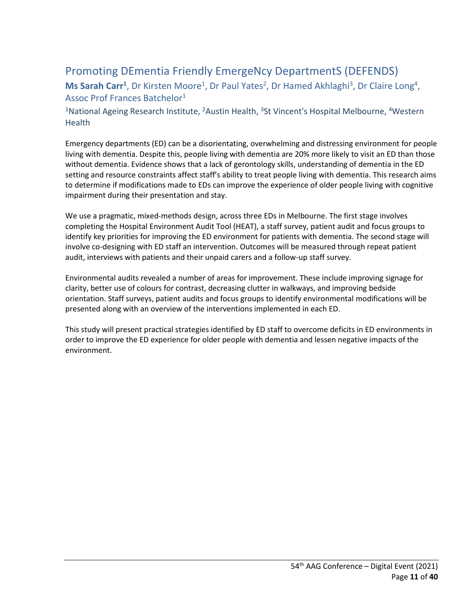## <span id="page-10-1"></span><span id="page-10-0"></span>Promoting DEmentia Friendly EmergeNcy DepartmentS (DEFENDS) Ms Sarah Carr<sup>1</sup>, Dr Kirsten Moore<sup>1</sup>, Dr Paul Yates<sup>2</sup>, Dr Hamed Akhlaghi<sup>3</sup>, Dr Claire Long<sup>4</sup>, Assoc Prof Frances Batchelor<sup>1</sup>

#### <span id="page-10-2"></span><sup>1</sup> National Ageing Research Institute, <sup>2</sup> Austin Health, <sup>3</sup> St Vincent's Hospital Melbourne, <sup>4</sup> Western Health

Emergency departments (ED) can be a disorientating, overwhelming and distressing environment for people living with dementia. Despite this, people living with dementia are 20% more likely to visit an ED than those without dementia. Evidence shows that a lack of gerontology skills, understanding of dementia in the ED setting and resource constraints affect staff's ability to treat people living with dementia. This research aims to determine if modifications made to EDs can improve the experience of older people living with cognitive impairment during their presentation and stay.

We use a pragmatic, mixed-methods design, across three EDs in Melbourne. The first stage involves completing the Hospital Environment Audit Tool (HEAT), a staff survey, patient audit and focus groups to identify key priorities for improving the ED environment for patients with dementia. The second stage will involve co-designing with ED staff an intervention. Outcomes will be measured through repeat patient audit, interviews with patients and their unpaid carers and a follow-up staff survey.

Environmental audits revealed a number of areas for improvement. These include improving signage for clarity, better use of colours for contrast, decreasing clutter in walkways, and improving bedside orientation. Staff surveys, patient audits and focus groups to identify environmental modifications will be presented along with an overview of the interventions implemented in each ED.

This study will present practical strategies identified by ED staff to overcome deficits in ED environments in order to improve the ED experience for older people with dementia and lessen negative impacts of the environment.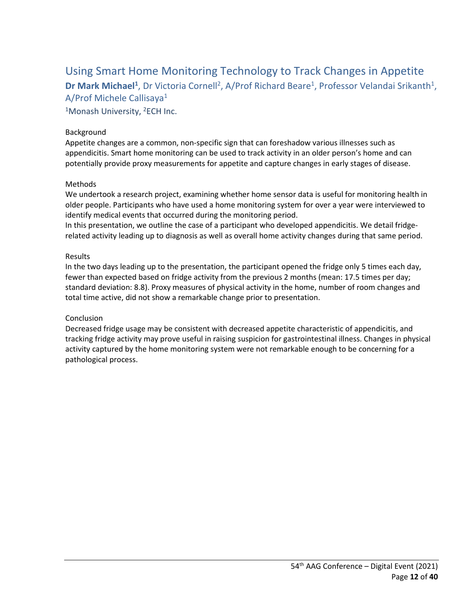<span id="page-11-1"></span><span id="page-11-0"></span>Using Smart Home Monitoring Technology to Track Changes in Appetite Dr Mark Michael<sup>1</sup>, Dr Victoria Cornell<sup>2</sup>, A/Prof Richard Beare<sup>1</sup>, Professor Velandai Srikanth<sup>1</sup>, A/Prof Michele Callisaya1

<span id="page-11-2"></span><sup>1</sup>Monash University, <sup>2</sup>ECH Inc.

#### Background

Appetite changes are a common, non-specific sign that can foreshadow various illnesses such as appendicitis. Smart home monitoring can be used to track activity in an older person's home and can potentially provide proxy measurements for appetite and capture changes in early stages of disease.

#### Methods

We undertook a research project, examining whether home sensor data is useful for monitoring health in older people. Participants who have used a home monitoring system for over a year were interviewed to identify medical events that occurred during the monitoring period.

In this presentation, we outline the case of a participant who developed appendicitis. We detail fridgerelated activity leading up to diagnosis as well as overall home activity changes during that same period.

#### Results

In the two days leading up to the presentation, the participant opened the fridge only 5 times each day, fewer than expected based on fridge activity from the previous 2 months (mean: 17.5 times per day; standard deviation: 8.8). Proxy measures of physical activity in the home, number of room changes and total time active, did not show a remarkable change prior to presentation.

#### Conclusion

Decreased fridge usage may be consistent with decreased appetite characteristic of appendicitis, and tracking fridge activity may prove useful in raising suspicion for gastrointestinal illness. Changes in physical activity captured by the home monitoring system were not remarkable enough to be concerning for a pathological process.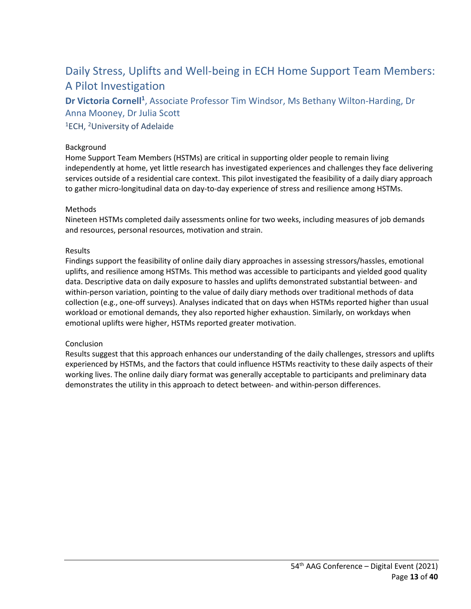## <span id="page-12-0"></span>Daily Stress, Uplifts and Well-being in ECH Home Support Team Members: A Pilot Investigation

<span id="page-12-1"></span>Dr Victoria Cornell<sup>1</sup>, Associate Professor Tim Windsor, Ms Bethany Wilton-Harding, Dr Anna Mooney, Dr Julia Scott

<span id="page-12-2"></span><sup>1</sup>ECH, <sup>2</sup>University of Adelaide

#### Background

Home Support Team Members (HSTMs) are critical in supporting older people to remain living independently at home, yet little research has investigated experiences and challenges they face delivering services outside of a residential care context. This pilot investigated the feasibility of a daily diary approach to gather micro-longitudinal data on day-to-day experience of stress and resilience among HSTMs.

#### Methods

Nineteen HSTMs completed daily assessments online for two weeks, including measures of job demands and resources, personal resources, motivation and strain.

#### Results

Findings support the feasibility of online daily diary approaches in assessing stressors/hassles, emotional uplifts, and resilience among HSTMs. This method was accessible to participants and yielded good quality data. Descriptive data on daily exposure to hassles and uplifts demonstrated substantial between- and within-person variation, pointing to the value of daily diary methods over traditional methods of data collection (e.g., one-off surveys). Analyses indicated that on days when HSTMs reported higher than usual workload or emotional demands, they also reported higher exhaustion. Similarly, on workdays when emotional uplifts were higher, HSTMs reported greater motivation.

#### Conclusion

Results suggest that this approach enhances our understanding of the daily challenges, stressors and uplifts experienced by HSTMs, and the factors that could influence HSTMs reactivity to these daily aspects of their working lives. The online daily diary format was generally acceptable to participants and preliminary data demonstrates the utility in this approach to detect between- and within-person differences.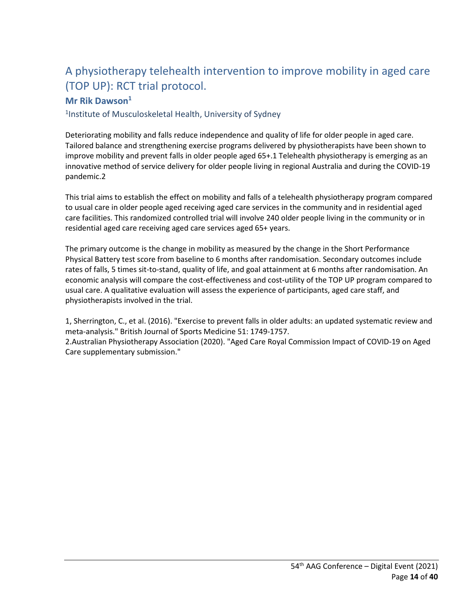## <span id="page-13-0"></span>A physiotherapy telehealth intervention to improve mobility in aged care (TOP UP): RCT trial protocol.

### <span id="page-13-1"></span>**Mr Rik Dawson**<sup>1</sup>

<span id="page-13-2"></span>1Institute of Musculoskeletal Health, University of Sydney

Deteriorating mobility and falls reduce independence and quality of life for older people in aged care. Tailored balance and strengthening exercise programs delivered by physiotherapists have been shown to improve mobility and prevent falls in older people aged 65+.1 Telehealth physiotherapy is emerging as an innovative method of service delivery for older people living in regional Australia and during the COVID-19 pandemic.2

This trial aims to establish the effect on mobility and falls of a telehealth physiotherapy program compared to usual care in older people aged receiving aged care services in the community and in residential aged care facilities. This randomized controlled trial will involve 240 older people living in the community or in residential aged care receiving aged care services aged 65+ years.

The primary outcome is the change in mobility as measured by the change in the Short Performance Physical Battery test score from baseline to 6 months after randomisation. Secondary outcomes include rates of falls, 5 times sit-to-stand, quality of life, and goal attainment at 6 months after randomisation. An economic analysis will compare the cost-effectiveness and cost-utility of the TOP UP program compared to usual care. A qualitative evaluation will assess the experience of participants, aged care staff, and physiotherapists involved in the trial.

1, Sherrington, C., et al. (2016). "Exercise to prevent falls in older adults: an updated systematic review and meta-analysis." British Journal of Sports Medicine 51: 1749-1757. 2.Australian Physiotherapy Association (2020). "Aged Care Royal Commission Impact of COVID-19 on Aged Care supplementary submission."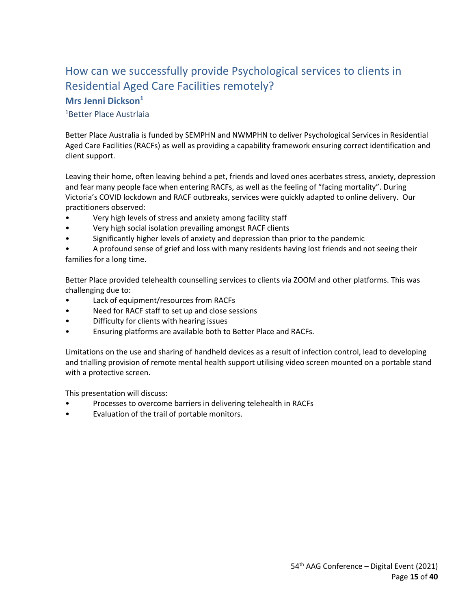### <span id="page-14-0"></span>How can we successfully provide Psychological services to clients in Residential Aged Care Facilities remotely? **Mrs Jenni Dickson1**

#### <span id="page-14-2"></span><span id="page-14-1"></span>1Better Place Austrlaia

Better Place Australia is funded by SEMPHN and NWMPHN to deliver Psychological Services in Residential Aged Care Facilities (RACFs) as well as providing a capability framework ensuring correct identification and client support.

Leaving their home, often leaving behind a pet, friends and loved ones acerbates stress, anxiety, depression and fear many people face when entering RACFs, as well as the feeling of "facing mortality". During Victoria's COVID lockdown and RACF outbreaks, services were quickly adapted to online delivery. Our practitioners observed:

- Very high levels of stress and anxiety among facility staff
- Very high social isolation prevailing amongst RACF clients
- Significantly higher levels of anxiety and depression than prior to the pandemic

• A profound sense of grief and loss with many residents having lost friends and not seeing their families for a long time.

Better Place provided telehealth counselling services to clients via ZOOM and other platforms. This was challenging due to:

- Lack of equipment/resources from RACFs
- Need for RACF staff to set up and close sessions
- Difficulty for clients with hearing issues
- Ensuring platforms are available both to Better Place and RACFs.

Limitations on the use and sharing of handheld devices as a result of infection control, lead to developing and trialling provision of remote mental health support utilising video screen mounted on a portable stand with a protective screen.

This presentation will discuss:

- Processes to overcome barriers in delivering telehealth in RACFs
- Evaluation of the trail of portable monitors.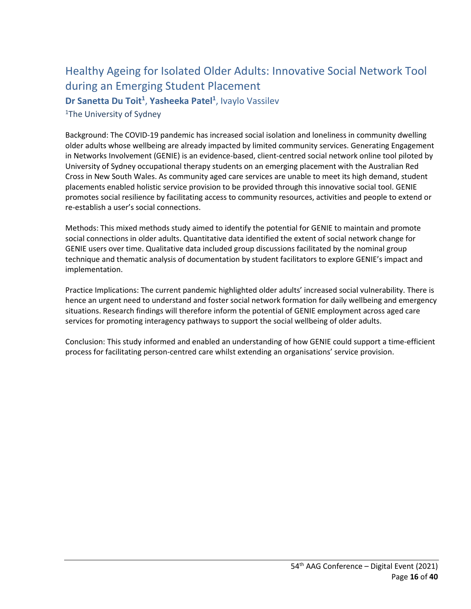## <span id="page-15-0"></span>Healthy Ageing for Isolated Older Adults: Innovative Social Network Tool during an Emerging Student Placement

<span id="page-15-1"></span>Dr Sanetta Du Toit<sup>1</sup>, Yasheeka Patel<sup>1</sup>, Ivaylo Vassilev

<span id="page-15-2"></span><sup>1</sup>The University of Sydney

Background: The COVID-19 pandemic has increased social isolation and loneliness in community dwelling older adults whose wellbeing are already impacted by limited community services. Generating Engagement in Networks Involvement (GENIE) is an evidence-based, client-centred social network online tool piloted by University of Sydney occupational therapy students on an emerging placement with the Australian Red Cross in New South Wales. As community aged care services are unable to meet its high demand, student placements enabled holistic service provision to be provided through this innovative social tool. GENIE promotes social resilience by facilitating access to community resources, activities and people to extend or re-establish a user's social connections.

Methods: This mixed methods study aimed to identify the potential for GENIE to maintain and promote social connections in older adults. Quantitative data identified the extent of social network change for GENIE users over time. Qualitative data included group discussions facilitated by the nominal group technique and thematic analysis of documentation by student facilitators to explore GENIE's impact and implementation.

Practice Implications: The current pandemic highlighted older adults' increased social vulnerability. There is hence an urgent need to understand and foster social network formation for daily wellbeing and emergency situations. Research findings will therefore inform the potential of GENIE employment across aged care services for promoting interagency pathways to support the social wellbeing of older adults.

Conclusion: This study informed and enabled an understanding of how GENIE could support a time-efficient process for facilitating person-centred care whilst extending an organisations' service provision.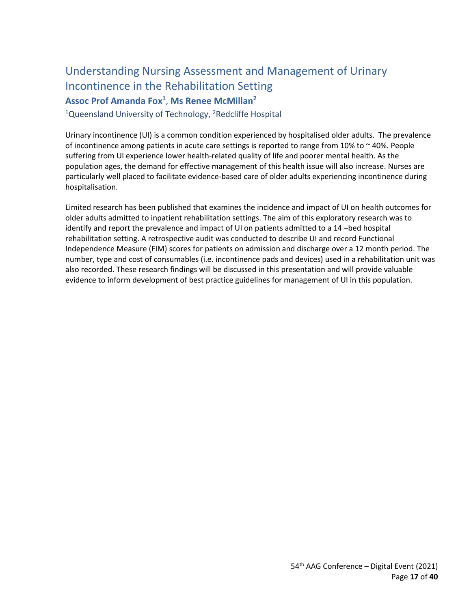## <span id="page-16-0"></span>Understanding Nursing Assessment and Management of Urinary Incontinence in the Rehabilitation Setting

<span id="page-16-1"></span>**Assoc Prof Amanda Fox1** , **Ms Renee McMillan2**

<span id="page-16-2"></span><sup>1</sup>Queensland University of Technology, <sup>2</sup>Redcliffe Hospital

Urinary incontinence (UI) is a common condition experienced by hospitalised older adults. The prevalence of incontinence among patients in acute care settings is reported to range from 10% to ~ 40%. People suffering from UI experience lower health-related quality of life and poorer mental health. As the population ages, the demand for effective management of this health issue will also increase. Nurses are particularly well placed to facilitate evidence-based care of older adults experiencing incontinence during hospitalisation.

Limited research has been published that examines the incidence and impact of UI on health outcomes for older adults admitted to inpatient rehabilitation settings. The aim of this exploratory research was to identify and report the prevalence and impact of UI on patients admitted to a 14 –bed hospital rehabilitation setting. A retrospective audit was conducted to describe UI and record Functional Independence Measure (FIM) scores for patients on admission and discharge over a 12 month period. The number, type and cost of consumables (i.e. incontinence pads and devices) used in a rehabilitation unit was also recorded. These research findings will be discussed in this presentation and will provide valuable evidence to inform development of best practice guidelines for management of UI in this population.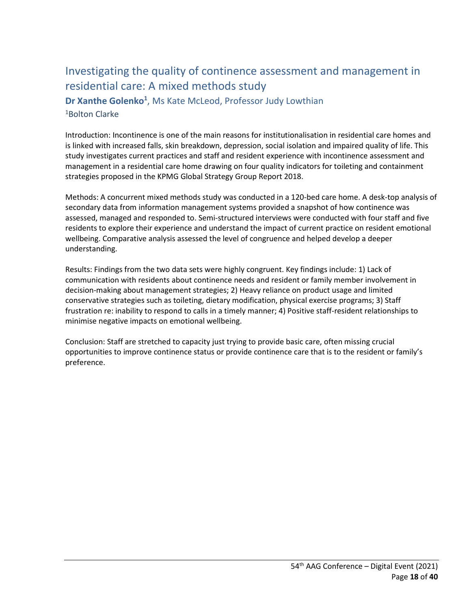## <span id="page-17-0"></span>Investigating the quality of continence assessment and management in residential care: A mixed methods study

<span id="page-17-2"></span><span id="page-17-1"></span>Dr Xanthe Golenko<sup>1</sup>, Ms Kate McLeod, Professor Judy Lowthian 1Bolton Clarke

Introduction: Incontinence is one of the main reasons for institutionalisation in residential care homes and is linked with increased falls, skin breakdown, depression, social isolation and impaired quality of life. This study investigates current practices and staff and resident experience with incontinence assessment and management in a residential care home drawing on four quality indicators for toileting and containment strategies proposed in the KPMG Global Strategy Group Report 2018.

Methods: A concurrent mixed methods study was conducted in a 120-bed care home. A desk-top analysis of secondary data from information management systems provided a snapshot of how continence was assessed, managed and responded to. Semi-structured interviews were conducted with four staff and five residents to explore their experience and understand the impact of current practice on resident emotional wellbeing. Comparative analysis assessed the level of congruence and helped develop a deeper understanding.

Results: Findings from the two data sets were highly congruent. Key findings include: 1) Lack of communication with residents about continence needs and resident or family member involvement in decision-making about management strategies; 2) Heavy reliance on product usage and limited conservative strategies such as toileting, dietary modification, physical exercise programs; 3) Staff frustration re: inability to respond to calls in a timely manner; 4) Positive staff-resident relationships to minimise negative impacts on emotional wellbeing.

Conclusion: Staff are stretched to capacity just trying to provide basic care, often missing crucial opportunities to improve continence status or provide continence care that is to the resident or family's preference.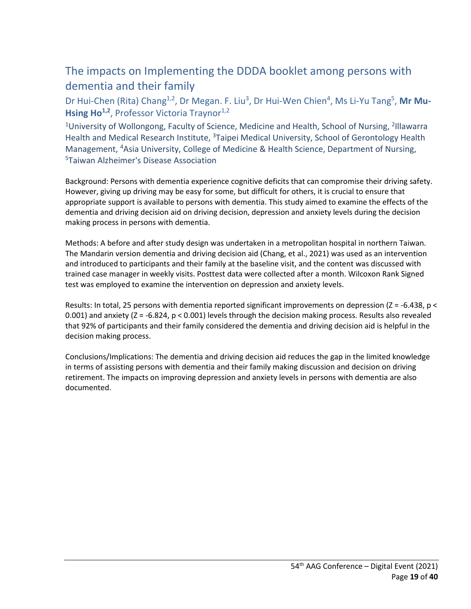## <span id="page-18-0"></span>The impacts on Implementing the DDDA booklet among persons with dementia and their family

<span id="page-18-1"></span>Dr Hui-Chen (Rita) Chang<sup>1,2</sup>, Dr Megan. F. Liu<sup>3</sup>, Dr Hui-Wen Chien<sup>4</sup>, Ms Li-Yu Tang<sup>5</sup>, Mr Mu-Hsing Ho<sup>1,2</sup>, Professor Victoria Traynor<sup>1,2</sup>

<span id="page-18-2"></span><sup>1</sup>University of Wollongong, Faculty of Science, Medicine and Health, School of Nursing, <sup>2</sup>Illawarra Health and Medical Research Institute, <sup>3</sup>Taipei Medical University, School of Gerontology Health Management, 4Asia University, College of Medicine & Health Science, Department of Nursing, 5Taiwan Alzheimer's Disease Association

Background: Persons with dementia experience cognitive deficits that can compromise their driving safety. However, giving up driving may be easy for some, but difficult for others, it is crucial to ensure that appropriate support is available to persons with dementia. This study aimed to examine the effects of the dementia and driving decision aid on driving decision, depression and anxiety levels during the decision making process in persons with dementia.

Methods: A before and after study design was undertaken in a metropolitan hospital in northern Taiwan. The Mandarin version dementia and driving decision aid (Chang, et al., 2021) was used as an intervention and introduced to participants and their family at the baseline visit, and the content was discussed with trained case manager in weekly visits. Posttest data were collected after a month. Wilcoxon Rank Signed test was employed to examine the intervention on depression and anxiety levels.

Results: In total, 25 persons with dementia reported significant improvements on depression (Z = -6.438, p < 0.001) and anxiety (Z = -6.824, p < 0.001) levels through the decision making process. Results also revealed that 92% of participants and their family considered the dementia and driving decision aid is helpful in the decision making process.

Conclusions/Implications: The dementia and driving decision aid reduces the gap in the limited knowledge in terms of assisting persons with dementia and their family making discussion and decision on driving retirement. The impacts on improving depression and anxiety levels in persons with dementia are also documented.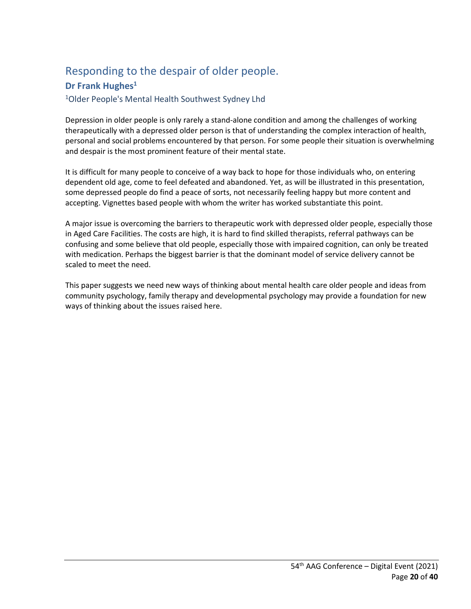## <span id="page-19-0"></span>Responding to the despair of older people.

### <span id="page-19-1"></span>**Dr Frank Hughes<sup>1</sup>**

<span id="page-19-2"></span>1Older People's Mental Health Southwest Sydney Lhd

Depression in older people is only rarely a stand-alone condition and among the challenges of working therapeutically with a depressed older person is that of understanding the complex interaction of health, personal and social problems encountered by that person. For some people their situation is overwhelming and despair is the most prominent feature of their mental state.

It is difficult for many people to conceive of a way back to hope for those individuals who, on entering dependent old age, come to feel defeated and abandoned. Yet, as will be illustrated in this presentation, some depressed people do find a peace of sorts, not necessarily feeling happy but more content and accepting. Vignettes based people with whom the writer has worked substantiate this point.

A major issue is overcoming the barriers to therapeutic work with depressed older people, especially those in Aged Care Facilities. The costs are high, it is hard to find skilled therapists, referral pathways can be confusing and some believe that old people, especially those with impaired cognition, can only be treated with medication. Perhaps the biggest barrier is that the dominant model of service delivery cannot be scaled to meet the need.

This paper suggests we need new ways of thinking about mental health care older people and ideas from community psychology, family therapy and developmental psychology may provide a foundation for new ways of thinking about the issues raised here.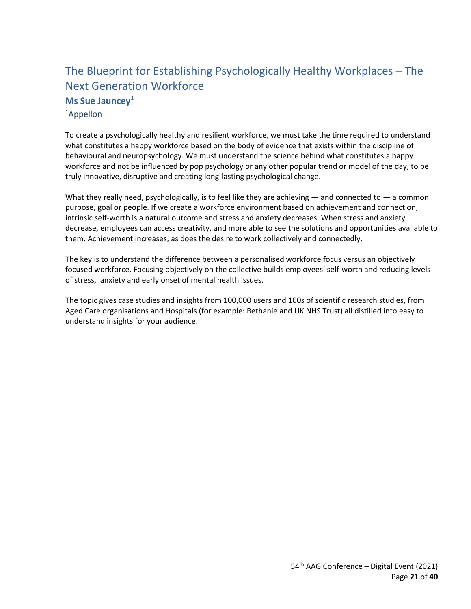## <span id="page-20-0"></span>The Blueprint for Establishing Psychologically Healthy Workplaces – The Next Generation Workforce **Ms Sue Jauncey1**

<span id="page-20-2"></span><span id="page-20-1"></span>1Appellon

To create a psychologically healthy and resilient workforce, we must take the time required to understand what constitutes a happy workforce based on the body of evidence that exists within the discipline of behavioural and neuropsychology. We must understand the science behind what constitutes a happy workforce and not be influenced by pop psychology or any other popular trend or model of the day, to be truly innovative, disruptive and creating long-lasting psychological change.

What they really need, psychologically, is to feel like they are achieving — and connected to — a common purpose, goal or people. If we create a workforce environment based on achievement and connection, intrinsic self-worth is a natural outcome and stress and anxiety decreases. When stress and anxiety decrease, employees can access creativity, and more able to see the solutions and opportunities available to them. Achievement increases, as does the desire to work collectively and connectedly.

The key is to understand the difference between a personalised workforce focus versus an objectively focused workforce. Focusing objectively on the collective builds employees' self-worth and reducing levels of stress, anxiety and early onset of mental health issues.

The topic gives case studies and insights from 100,000 users and 100s of scientific research studies, from Aged Care organisations and Hospitals (for example: Bethanie and UK NHS Trust) all distilled into easy to understand insights for your audience.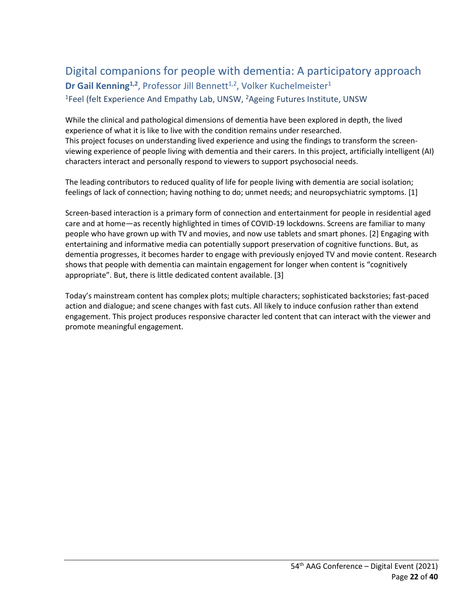## <span id="page-21-1"></span><span id="page-21-0"></span>Digital companions for people with dementia: A participatory approach **Dr Gail Kenning<sup>1,2</sup>**, Professor Jill Bennett<sup>1,2</sup>, Volker Kuchelmeister<sup>1</sup>

<span id="page-21-2"></span><sup>1</sup>Feel (felt Experience And Empathy Lab, UNSW, <sup>2</sup>Ageing Futures Institute, UNSW

While the clinical and pathological dimensions of dementia have been explored in depth, the lived experience of what it is like to live with the condition remains under researched. This project focuses on understanding lived experience and using the findings to transform the screenviewing experience of people living with dementia and their carers. In this project, artificially intelligent (AI) characters interact and personally respond to viewers to support psychosocial needs.

The leading contributors to reduced quality of life for people living with dementia are social isolation; feelings of lack of connection; having nothing to do; unmet needs; and neuropsychiatric symptoms. [1]

Screen-based interaction is a primary form of connection and entertainment for people in residential aged care and at home—as recently highlighted in times of COVID-19 lockdowns. Screens are familiar to many people who have grown up with TV and movies, and now use tablets and smart phones. [2] Engaging with entertaining and informative media can potentially support preservation of cognitive functions. But, as dementia progresses, it becomes harder to engage with previously enjoyed TV and movie content. Research shows that people with dementia can maintain engagement for longer when content is "cognitively appropriate". But, there is little dedicated content available. [3]

Today's mainstream content has complex plots; multiple characters; sophisticated backstories; fast-paced action and dialogue; and scene changes with fast cuts. All likely to induce confusion rather than extend engagement. This project produces responsive character led content that can interact with the viewer and promote meaningful engagement.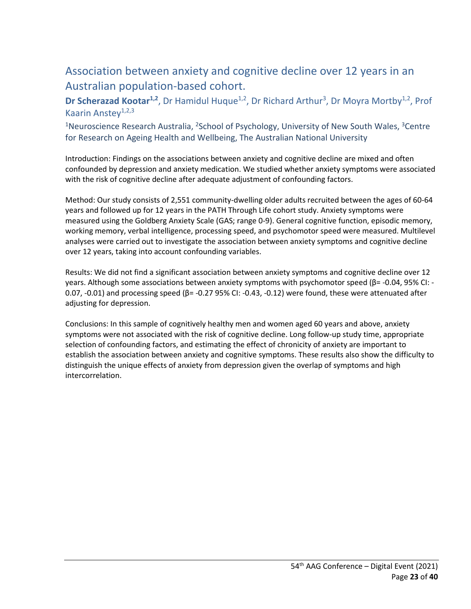## <span id="page-22-0"></span>Association between anxiety and cognitive decline over 12 years in an Australian population-based cohort.

<span id="page-22-1"></span>Dr Scherazad Kootar<sup>1,2</sup>, Dr Hamidul Huque<sup>1,2</sup>, Dr Richard Arthur<sup>3</sup>, Dr Moyra Mortby<sup>1,2</sup>, Prof Kaarin Anstey $1,2,3$ 

<span id="page-22-2"></span><sup>1</sup>Neuroscience Research Australia, <sup>2</sup>School of Psychology, University of New South Wales, <sup>3</sup>Centre for Research on Ageing Health and Wellbeing, The Australian National University

Introduction: Findings on the associations between anxiety and cognitive decline are mixed and often confounded by depression and anxiety medication. We studied whether anxiety symptoms were associated with the risk of cognitive decline after adequate adjustment of confounding factors.

Method: Our study consists of 2,551 community-dwelling older adults recruited between the ages of 60-64 years and followed up for 12 years in the PATH Through Life cohort study. Anxiety symptoms were measured using the Goldberg Anxiety Scale (GAS; range 0-9). General cognitive function, episodic memory, working memory, verbal intelligence, processing speed, and psychomotor speed were measured. Multilevel analyses were carried out to investigate the association between anxiety symptoms and cognitive decline over 12 years, taking into account confounding variables.

Results: We did not find a significant association between anxiety symptoms and cognitive decline over 12 years. Although some associations between anxiety symptoms with psychomotor speed (β= -0.04, 95% CI: - 0.07, -0.01) and processing speed (β= -0.27 95% CI: -0.43, -0.12) were found, these were attenuated after adjusting for depression.

Conclusions: In this sample of cognitively healthy men and women aged 60 years and above, anxiety symptoms were not associated with the risk of cognitive decline. Long follow-up study time, appropriate selection of confounding factors, and estimating the effect of chronicity of anxiety are important to establish the association between anxiety and cognitive symptoms. These results also show the difficulty to distinguish the unique effects of anxiety from depression given the overlap of symptoms and high intercorrelation.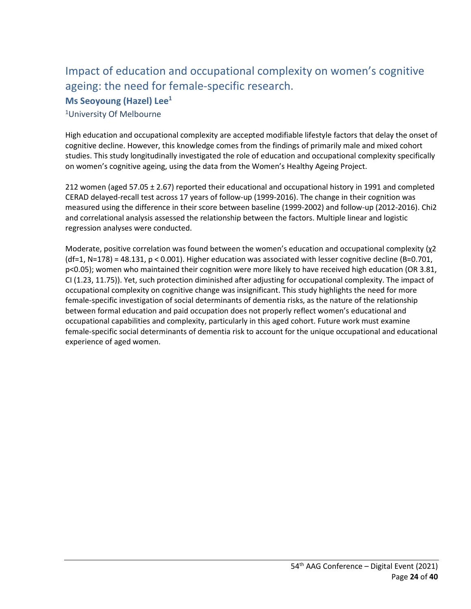## <span id="page-23-0"></span>Impact of education and occupational complexity on women's cognitive ageing: the need for female-specific research. **Ms Seoyoung (Hazel) Lee1**

<span id="page-23-2"></span><span id="page-23-1"></span>1University Of Melbourne

High education and occupational complexity are accepted modifiable lifestyle factors that delay the onset of cognitive decline. However, this knowledge comes from the findings of primarily male and mixed cohort studies. This study longitudinally investigated the role of education and occupational complexity specifically on women's cognitive ageing, using the data from the Women's Healthy Ageing Project.

212 women (aged 57.05 ± 2.67) reported their educational and occupational history in 1991 and completed CERAD delayed-recall test across 17 years of follow-up (1999-2016). The change in their cognition was measured using the difference in their score between baseline (1999-2002) and follow-up (2012-2016). Chi2 and correlational analysis assessed the relationship between the factors. Multiple linear and logistic regression analyses were conducted.

Moderate, positive correlation was found between the women's education and occupational complexity (χ2  $(df=1, N=178) = 48.131$ ,  $p < 0.001$ ). Higher education was associated with lesser cognitive decline (B=0.701, p<0.05); women who maintained their cognition were more likely to have received high education (OR 3.81, CI (1.23, 11.75)). Yet, such protection diminished after adjusting for occupational complexity. The impact of occupational complexity on cognitive change was insignificant. This study highlights the need for more female-specific investigation of social determinants of dementia risks, as the nature of the relationship between formal education and paid occupation does not properly reflect women's educational and occupational capabilities and complexity, particularly in this aged cohort. Future work must examine female-specific social determinants of dementia risk to account for the unique occupational and educational experience of aged women.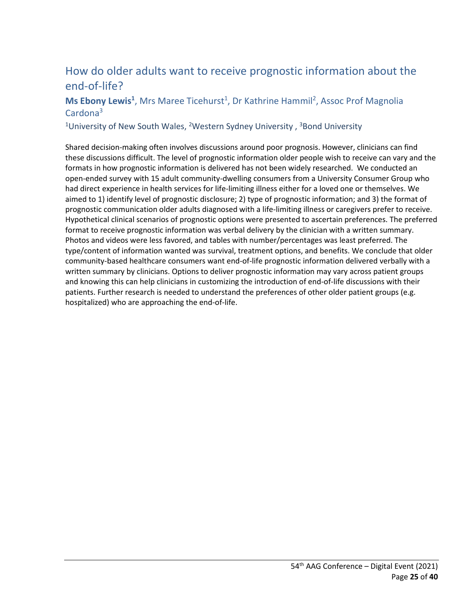## <span id="page-24-0"></span>How do older adults want to receive prognostic information about the end-of-life?

#### <span id="page-24-1"></span>Ms Ebony Lewis<sup>1</sup>, Mrs Maree Ticehurst<sup>1</sup>, Dr Kathrine Hammil<sup>2</sup>, Assoc Prof Magnolia Cardona<sup>3</sup>

<span id="page-24-2"></span><sup>1</sup>University of New South Wales, <sup>2</sup>Western Sydney University,  $3$ Bond University

Shared decision-making often involves discussions around poor prognosis. However, clinicians can find these discussions difficult. The level of prognostic information older people wish to receive can vary and the formats in how prognostic information is delivered has not been widely researched. We conducted an open-ended survey with 15 adult community-dwelling consumers from a University Consumer Group who had direct experience in health services for life-limiting illness either for a loved one or themselves. We aimed to 1) identify level of prognostic disclosure; 2) type of prognostic information; and 3) the format of prognostic communication older adults diagnosed with a life-limiting illness or caregivers prefer to receive. Hypothetical clinical scenarios of prognostic options were presented to ascertain preferences. The preferred format to receive prognostic information was verbal delivery by the clinician with a written summary. Photos and videos were less favored, and tables with number/percentages was least preferred. The type/content of information wanted was survival, treatment options, and benefits. We conclude that older community-based healthcare consumers want end-of-life prognostic information delivered verbally with a written summary by clinicians. Options to deliver prognostic information may vary across patient groups and knowing this can help clinicians in customizing the introduction of end-of-life discussions with their patients. Further research is needed to understand the preferences of other older patient groups (e.g. hospitalized) who are approaching the end-of-life.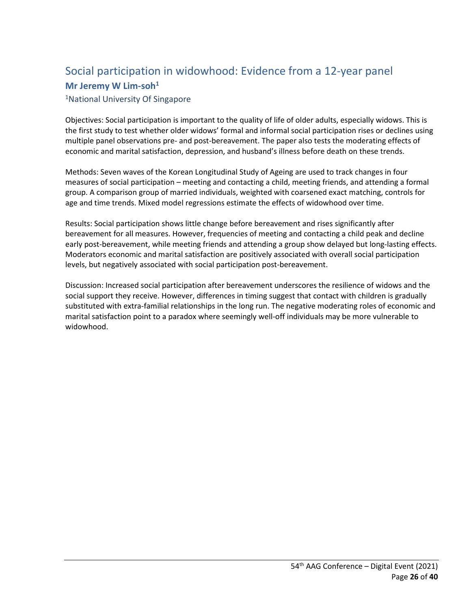## <span id="page-25-1"></span><span id="page-25-0"></span>Social participation in widowhood: Evidence from a 12-year panel **Mr Jeremy W Lim-soh1**

<span id="page-25-2"></span>1National University Of Singapore

Objectives: Social participation is important to the quality of life of older adults, especially widows. This is the first study to test whether older widows' formal and informal social participation rises or declines using multiple panel observations pre- and post-bereavement. The paper also tests the moderating effects of economic and marital satisfaction, depression, and husband's illness before death on these trends.

Methods: Seven waves of the Korean Longitudinal Study of Ageing are used to track changes in four measures of social participation – meeting and contacting a child, meeting friends, and attending a formal group. A comparison group of married individuals, weighted with coarsened exact matching, controls for age and time trends. Mixed model regressions estimate the effects of widowhood over time.

Results: Social participation shows little change before bereavement and rises significantly after bereavement for all measures. However, frequencies of meeting and contacting a child peak and decline early post-bereavement, while meeting friends and attending a group show delayed but long-lasting effects. Moderators economic and marital satisfaction are positively associated with overall social participation levels, but negatively associated with social participation post-bereavement.

Discussion: Increased social participation after bereavement underscores the resilience of widows and the social support they receive. However, differences in timing suggest that contact with children is gradually substituted with extra-familial relationships in the long run. The negative moderating roles of economic and marital satisfaction point to a paradox where seemingly well-off individuals may be more vulnerable to widowhood.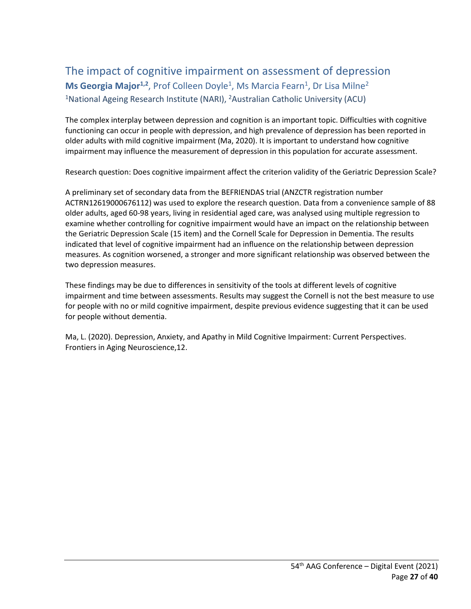## <span id="page-26-1"></span><span id="page-26-0"></span>The impact of cognitive impairment on assessment of depression Ms Georgia Major<sup>1,2</sup>, Prof Colleen Doyle<sup>1</sup>, Ms Marcia Fearn<sup>1</sup>, Dr Lisa Milne<sup>2</sup> 1National Ageing Research Institute (NARI), 2Australian Catholic University (ACU)

<span id="page-26-2"></span>The complex interplay between depression and cognition is an important topic. Difficulties with cognitive functioning can occur in people with depression, and high prevalence of depression has been reported in older adults with mild cognitive impairment (Ma, 2020). It is important to understand how cognitive impairment may influence the measurement of depression in this population for accurate assessment.

Research question: Does cognitive impairment affect the criterion validity of the Geriatric Depression Scale?

A preliminary set of secondary data from the BEFRIENDAS trial (ANZCTR registration number ACTRN12619000676112) was used to explore the research question. Data from a convenience sample of 88 older adults, aged 60-98 years, living in residential aged care, was analysed using multiple regression to examine whether controlling for cognitive impairment would have an impact on the relationship between the Geriatric Depression Scale (15 item) and the Cornell Scale for Depression in Dementia. The results indicated that level of cognitive impairment had an influence on the relationship between depression measures. As cognition worsened, a stronger and more significant relationship was observed between the two depression measures.

These findings may be due to differences in sensitivity of the tools at different levels of cognitive impairment and time between assessments. Results may suggest the Cornell is not the best measure to use for people with no or mild cognitive impairment, despite previous evidence suggesting that it can be used for people without dementia.

Ma, L. (2020). Depression, Anxiety, and Apathy in Mild Cognitive Impairment: Current Perspectives. Frontiers in Aging Neuroscience,12.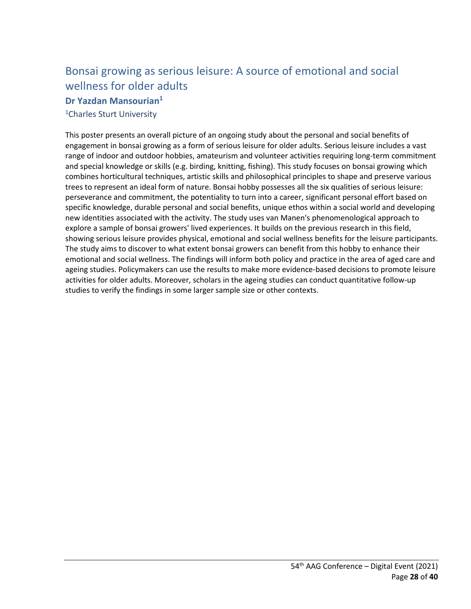## <span id="page-27-0"></span>Bonsai growing as serious leisure: A source of emotional and social wellness for older adults

#### <span id="page-27-1"></span>**Dr Yazdan Mansourian1**

<span id="page-27-2"></span>1Charles Sturt University

This poster presents an overall picture of an ongoing study about the personal and social benefits of engagement in bonsai growing as a form of serious leisure for older adults. Serious leisure includes a vast range of indoor and outdoor hobbies, amateurism and volunteer activities requiring long-term commitment and special knowledge or skills (e.g. birding, knitting, fishing). This study focuses on bonsai growing which combines horticultural techniques, artistic skills and philosophical principles to shape and preserve various trees to represent an ideal form of nature. Bonsai hobby possesses all the six qualities of serious leisure: perseverance and commitment, the potentiality to turn into a career, significant personal effort based on specific knowledge, durable personal and social benefits, unique ethos within a social world and developing new identities associated with the activity. The study uses van Manen's phenomenological approach to explore a sample of bonsai growers' lived experiences. It builds on the previous research in this field, showing serious leisure provides physical, emotional and social wellness benefits for the leisure participants. The study aims to discover to what extent bonsai growers can benefit from this hobby to enhance their emotional and social wellness. The findings will inform both policy and practice in the area of aged care and ageing studies. Policymakers can use the results to make more evidence-based decisions to promote leisure activities for older adults. Moreover, scholars in the ageing studies can conduct quantitative follow-up studies to verify the findings in some larger sample size or other contexts.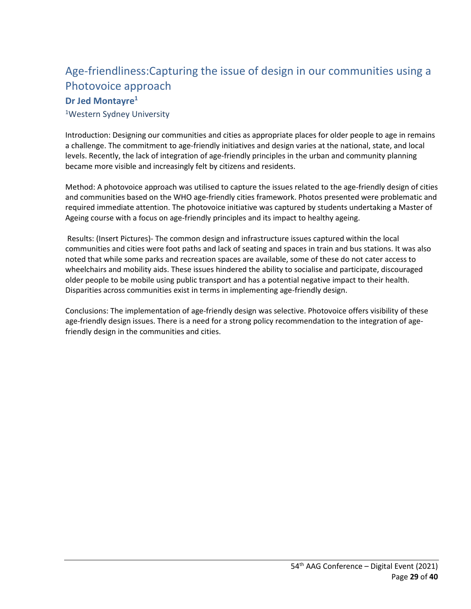## <span id="page-28-0"></span>Age-friendliness:Capturing the issue of design in our communities using a Photovoice approach

#### <span id="page-28-1"></span>**Dr Jed Montayre1**

<span id="page-28-2"></span>1Western Sydney University

Introduction: Designing our communities and cities as appropriate places for older people to age in remains a challenge. The commitment to age-friendly initiatives and design varies at the national, state, and local levels. Recently, the lack of integration of age-friendly principles in the urban and community planning became more visible and increasingly felt by citizens and residents.

Method: A photovoice approach was utilised to capture the issues related to the age-friendly design of cities and communities based on the WHO age-friendly cities framework. Photos presented were problematic and required immediate attention. The photovoice initiative was captured by students undertaking a Master of Ageing course with a focus on age-friendly principles and its impact to healthy ageing.

Results: (Insert Pictures)- The common design and infrastructure issues captured within the local communities and cities were foot paths and lack of seating and spaces in train and bus stations. It was also noted that while some parks and recreation spaces are available, some of these do not cater access to wheelchairs and mobility aids. These issues hindered the ability to socialise and participate, discouraged older people to be mobile using public transport and has a potential negative impact to their health. Disparities across communities exist in terms in implementing age-friendly design.

Conclusions: The implementation of age-friendly design was selective. Photovoice offers visibility of these age-friendly design issues. There is a need for a strong policy recommendation to the integration of agefriendly design in the communities and cities.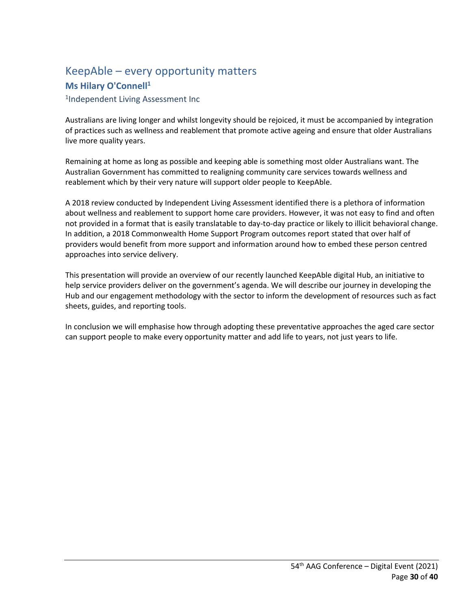## <span id="page-29-1"></span><span id="page-29-0"></span>KeepAble – every opportunity matters **Ms Hilary O'Connell<sup>1</sup>**

<span id="page-29-2"></span>1Independent Living Assessment Inc

Australians are living longer and whilst longevity should be rejoiced, it must be accompanied by integration of practices such as wellness and reablement that promote active ageing and ensure that older Australians live more quality years.

Remaining at home as long as possible and keeping able is something most older Australians want. The Australian Government has committed to realigning community care services towards wellness and reablement which by their very nature will support older people to KeepAble.

A 2018 review conducted by Independent Living Assessment identified there is a plethora of information about wellness and reablement to support home care providers. However, it was not easy to find and often not provided in a format that is easily translatable to day-to-day practice or likely to illicit behavioral change. In addition, a 2018 Commonwealth Home Support Program outcomes report stated that over half of providers would benefit from more support and information around how to embed these person centred approaches into service delivery.

This presentation will provide an overview of our recently launched KeepAble digital Hub, an initiative to help service providers deliver on the government's agenda. We will describe our journey in developing the Hub and our engagement methodology with the sector to inform the development of resources such as fact sheets, guides, and reporting tools.

In conclusion we will emphasise how through adopting these preventative approaches the aged care sector can support people to make every opportunity matter and add life to years, not just years to life.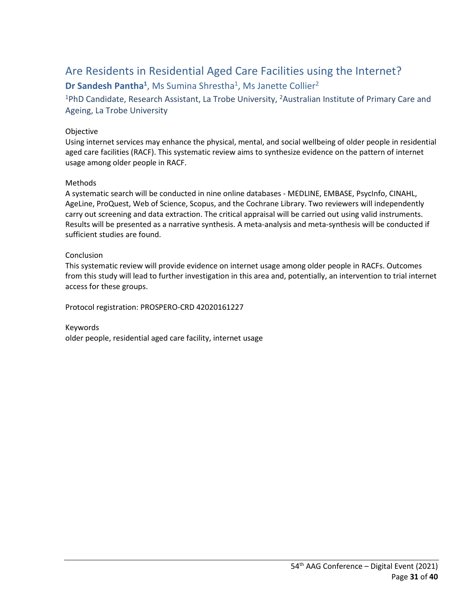## <span id="page-30-0"></span>Are Residents in Residential Aged Care Facilities using the Internet?

### <span id="page-30-1"></span>**Dr Sandesh Pantha<sup>1</sup>**, Ms Sumina Shrestha<sup>1</sup>, Ms Janette Collier<sup>2</sup>

<span id="page-30-2"></span><sup>1</sup>PhD Candidate, Research Assistant, La Trobe University, <sup>2</sup>Australian Institute of Primary Care and Ageing, La Trobe University

#### Objective

Using internet services may enhance the physical, mental, and social wellbeing of older people in residential aged care facilities (RACF). This systematic review aims to synthesize evidence on the pattern of internet usage among older people in RACF.

#### Methods

A systematic search will be conducted in nine online databases - MEDLINE, EMBASE, PsycInfo, CINAHL, AgeLine, ProQuest, Web of Science, Scopus, and the Cochrane Library. Two reviewers will independently carry out screening and data extraction. The critical appraisal will be carried out using valid instruments. Results will be presented as a narrative synthesis. A meta-analysis and meta-synthesis will be conducted if sufficient studies are found.

#### Conclusion

This systematic review will provide evidence on internet usage among older people in RACFs. Outcomes from this study will lead to further investigation in this area and, potentially, an intervention to trial internet access for these groups.

Protocol registration: PROSPERO-CRD 42020161227

Keywords older people, residential aged care facility, internet usage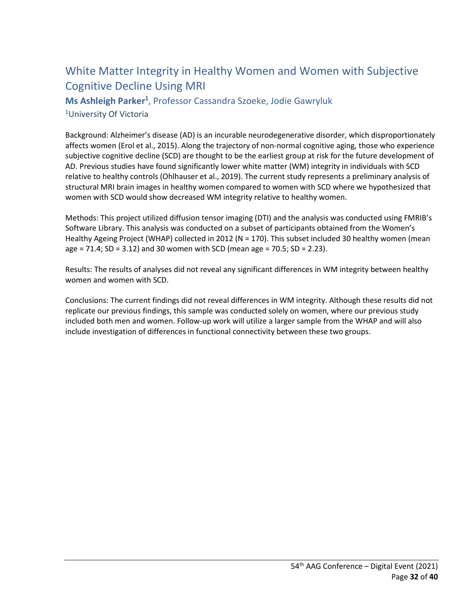## <span id="page-31-0"></span>White Matter Integrity in Healthy Women and Women with Subjective Cognitive Decline Using MRI

<span id="page-31-2"></span><span id="page-31-1"></span>**Ms Ashleigh Parker1** , Professor Cassandra Szoeke, Jodie Gawryluk 1University Of Victoria

Background: Alzheimer's disease (AD) is an incurable neurodegenerative disorder, which disproportionately affects women (Erol et al., 2015). Along the trajectory of non-normal cognitive aging, those who experience subjective cognitive decline (SCD) are thought to be the earliest group at risk for the future development of AD. Previous studies have found significantly lower white matter (WM) integrity in individuals with SCD relative to healthy controls (Ohlhauser et al., 2019). The current study represents a preliminary analysis of structural MRI brain images in healthy women compared to women with SCD where we hypothesized that women with SCD would show decreased WM integrity relative to healthy women.

Methods: This project utilized diffusion tensor imaging (DTI) and the analysis was conducted using FMRIB's Software Library. This analysis was conducted on a subset of participants obtained from the Women's Healthy Ageing Project (WHAP) collected in 2012 (N = 170). This subset included 30 healthy women (mean age =  $71.4$ ; SD =  $3.12$ ) and 30 women with SCD (mean age =  $70.5$ ; SD =  $2.23$ ).

Results: The results of analyses did not reveal any significant differences in WM integrity between healthy women and women with SCD.

Conclusions: The current findings did not reveal differences in WM integrity. Although these results did not replicate our previous findings, this sample was conducted solely on women, where our previous study included both men and women. Follow-up work will utilize a larger sample from the WHAP and will also include investigation of differences in functional connectivity between these two groups.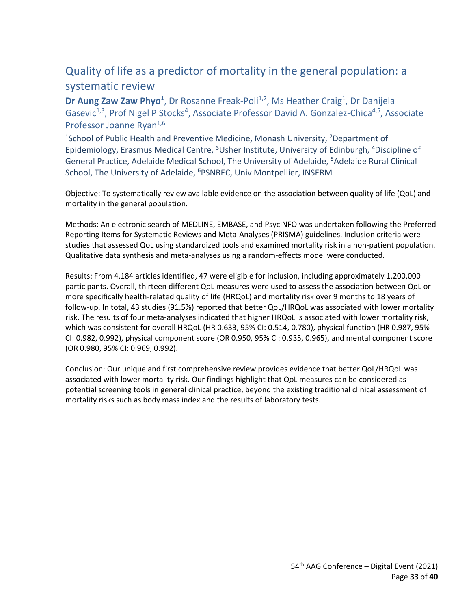## <span id="page-32-0"></span>Quality of life as a predictor of mortality in the general population: a systematic review

<span id="page-32-1"></span>Dr Aung Zaw Zaw Phyo<sup>1</sup>, Dr Rosanne Freak-Poli<sup>1,2</sup>, Ms Heather Craig<sup>1</sup>, Dr Danijela Gasevic<sup>1,3</sup>, Prof Nigel P Stocks<sup>4</sup>, Associate Professor David A. Gonzalez-Chica<sup>4,5</sup>, Associate Professor Joanne Ryan<sup>1,6</sup>

<span id="page-32-2"></span><sup>1</sup>School of Public Health and Preventive Medicine, Monash University, <sup>2</sup>Department of Epidemiology, Erasmus Medical Centre, <sup>3</sup>Usher Institute, University of Edinburgh, <sup>4</sup>Discipline of General Practice, Adelaide Medical School, The University of Adelaide, 5Adelaide Rural Clinical School, The University of Adelaide, <sup>6</sup>PSNREC, Univ Montpellier, INSERM

Objective: To systematically review available evidence on the association between quality of life (QoL) and mortality in the general population.

Methods: An electronic search of MEDLINE, EMBASE, and PsycINFO was undertaken following the Preferred Reporting Items for Systematic Reviews and Meta-Analyses (PRISMA) guidelines. Inclusion criteria were studies that assessed QoL using standardized tools and examined mortality risk in a non-patient population. Qualitative data synthesis and meta-analyses using a random-effects model were conducted.

Results: From 4,184 articles identified, 47 were eligible for inclusion, including approximately 1,200,000 participants. Overall, thirteen different QoL measures were used to assess the association between QoL or more specifically health-related quality of life (HRQoL) and mortality risk over 9 months to 18 years of follow-up. In total, 43 studies (91.5%) reported that better QoL/HRQoL was associated with lower mortality risk. The results of four meta-analyses indicated that higher HRQoL is associated with lower mortality risk, which was consistent for overall HRQoL (HR 0.633, 95% CI: 0.514, 0.780), physical function (HR 0.987, 95% CI: 0.982, 0.992), physical component score (OR 0.950, 95% CI: 0.935, 0.965), and mental component score (OR 0.980, 95% CI: 0.969, 0.992).

Conclusion: Our unique and first comprehensive review provides evidence that better QoL/HRQoL was associated with lower mortality risk. Our findings highlight that QoL measures can be considered as potential screening tools in general clinical practice, beyond the existing traditional clinical assessment of mortality risks such as body mass index and the results of laboratory tests.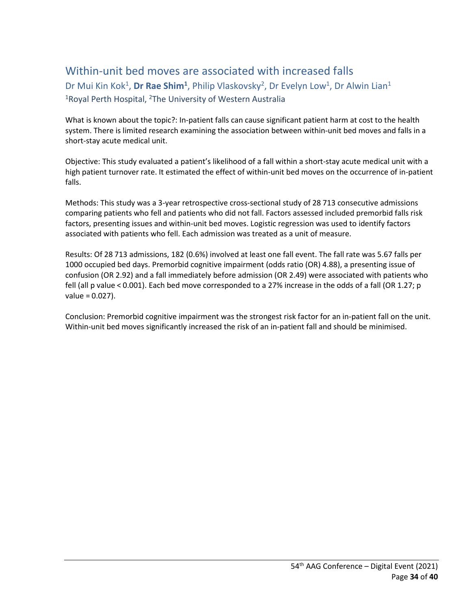## <span id="page-33-0"></span>Within-unit bed moves are associated with increased falls

<span id="page-33-2"></span><span id="page-33-1"></span>Dr Mui Kin Kok<sup>1</sup>, Dr Rae Shim<sup>1</sup>, Philip Vlaskovsky<sup>2</sup>, Dr Evelyn Low<sup>1</sup>, Dr Alwin Lian<sup>1</sup> <sup>1</sup>Royal Perth Hospital, <sup>2</sup>The University of Western Australia

What is known about the topic?: In-patient falls can cause significant patient harm at cost to the health system. There is limited research examining the association between within-unit bed moves and falls in a short-stay acute medical unit.

Objective: This study evaluated a patient's likelihood of a fall within a short-stay acute medical unit with a high patient turnover rate. It estimated the effect of within-unit bed moves on the occurrence of in-patient falls.

Methods: This study was a 3-year retrospective cross-sectional study of 28 713 consecutive admissions comparing patients who fell and patients who did not fall. Factors assessed included premorbid falls risk factors, presenting issues and within-unit bed moves. Logistic regression was used to identify factors associated with patients who fell. Each admission was treated as a unit of measure.

Results: Of 28 713 admissions, 182 (0.6%) involved at least one fall event. The fall rate was 5.67 falls per 1000 occupied bed days. Premorbid cognitive impairment (odds ratio (OR) 4.88), a presenting issue of confusion (OR 2.92) and a fall immediately before admission (OR 2.49) were associated with patients who fell (all p value < 0.001). Each bed move corresponded to a 27% increase in the odds of a fall (OR 1.27; p value = 0.027).

Conclusion: Premorbid cognitive impairment was the strongest risk factor for an in-patient fall on the unit. Within-unit bed moves significantly increased the risk of an in-patient fall and should be minimised.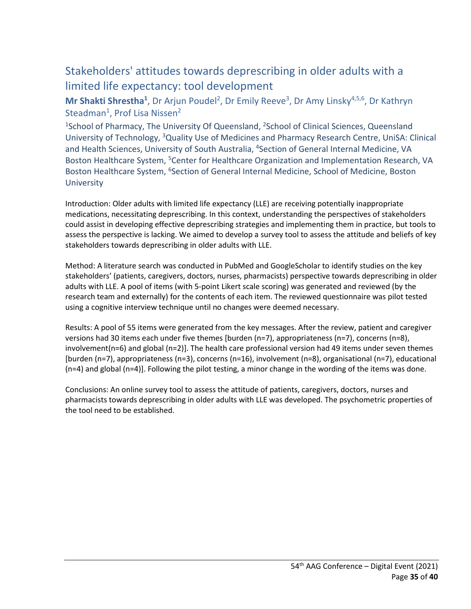## <span id="page-34-0"></span>Stakeholders' attitudes towards deprescribing in older adults with a limited life expectancy: tool development

#### <span id="page-34-1"></span>Mr Shakti Shrestha<sup>1</sup>, Dr Arjun Poudel<sup>2</sup>, Dr Emily Reeve<sup>3</sup>, Dr Amy Linsky<sup>4,5,6</sup>, Dr Kathryn Steadman<sup>1</sup>, Prof Lisa Nissen<sup>2</sup>

<span id="page-34-2"></span><sup>1</sup>School of Pharmacy, The University Of Queensland, <sup>2</sup>School of Clinical Sciences, Queensland University of Technology, 3Quality Use of Medicines and Pharmacy Research Centre, UniSA: Clinical and Health Sciences, University of South Australia, <sup>4</sup>Section of General Internal Medicine, VA Boston Healthcare System, <sup>5</sup>Center for Healthcare Organization and Implementation Research, VA Boston Healthcare System, <sup>6</sup>Section of General Internal Medicine, School of Medicine, Boston **University** 

Introduction: Older adults with limited life expectancy (LLE) are receiving potentially inappropriate medications, necessitating deprescribing. In this context, understanding the perspectives of stakeholders could assist in developing effective deprescribing strategies and implementing them in practice, but tools to assess the perspective is lacking. We aimed to develop a survey tool to assess the attitude and beliefs of key stakeholders towards deprescribing in older adults with LLE.

Method: A literature search was conducted in PubMed and GoogleScholar to identify studies on the key stakeholders' (patients, caregivers, doctors, nurses, pharmacists) perspective towards deprescribing in older adults with LLE. A pool of items (with 5-point Likert scale scoring) was generated and reviewed (by the research team and externally) for the contents of each item. The reviewed questionnaire was pilot tested using a cognitive interview technique until no changes were deemed necessary.

Results: A pool of 55 items were generated from the key messages. After the review, patient and caregiver versions had 30 items each under five themes [burden (n=7), appropriateness (n=7), concerns (n=8), involvement(n=6) and global (n=2)]. The health care professional version had 49 items under seven themes [burden (n=7), appropriateness (n=3), concerns (n=16), involvement (n=8), organisational (n=7), educational (n=4) and global (n=4)]. Following the pilot testing, a minor change in the wording of the items was done.

Conclusions: An online survey tool to assess the attitude of patients, caregivers, doctors, nurses and pharmacists towards deprescribing in older adults with LLE was developed. The psychometric properties of the tool need to be established.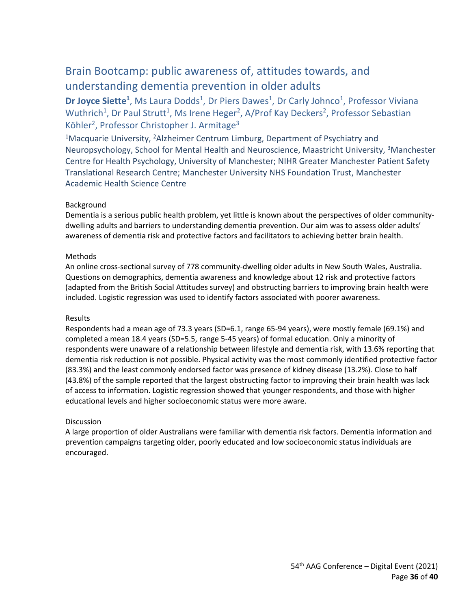## <span id="page-35-0"></span>Brain Bootcamp: public awareness of, attitudes towards, and understanding dementia prevention in older adults

<span id="page-35-1"></span>Dr Joyce Siette<sup>1</sup>, Ms Laura Dodds<sup>1</sup>, Dr Piers Dawes<sup>1</sup>, Dr Carly Johnco<sup>1</sup>, Professor Viviana Wuthrich<sup>1</sup>, Dr Paul Strutt<sup>1</sup>, Ms Irene Heger<sup>2</sup>, A/Prof Kay Deckers<sup>2</sup>, Professor Sebastian Köhler<sup>2</sup>, Professor Christopher J. Armitage<sup>3</sup>

<span id="page-35-2"></span><sup>1</sup>Macquarie University, <sup>2</sup>Alzheimer Centrum Limburg, Department of Psychiatry and Neuropsychology, School for Mental Health and Neuroscience, Maastricht University, 3Manchester Centre for Health Psychology, University of Manchester; NIHR Greater Manchester Patient Safety Translational Research Centre; Manchester University NHS Foundation Trust, Manchester Academic Health Science Centre

#### Background

Dementia is a serious public health problem, yet little is known about the perspectives of older communitydwelling adults and barriers to understanding dementia prevention. Our aim was to assess older adults' awareness of dementia risk and protective factors and facilitators to achieving better brain health.

#### Methods

An online cross-sectional survey of 778 community-dwelling older adults in New South Wales, Australia. Questions on demographics, dementia awareness and knowledge about 12 risk and protective factors (adapted from the British Social Attitudes survey) and obstructing barriers to improving brain health were included. Logistic regression was used to identify factors associated with poorer awareness.

#### Results

Respondents had a mean age of 73.3 years (SD=6.1, range 65-94 years), were mostly female (69.1%) and completed a mean 18.4 years (SD=5.5, range 5-45 years) of formal education. Only a minority of respondents were unaware of a relationship between lifestyle and dementia risk, with 13.6% reporting that dementia risk reduction is not possible. Physical activity was the most commonly identified protective factor (83.3%) and the least commonly endorsed factor was presence of kidney disease (13.2%). Close to half (43.8%) of the sample reported that the largest obstructing factor to improving their brain health was lack of access to information. Logistic regression showed that younger respondents, and those with higher educational levels and higher socioeconomic status were more aware.

#### Discussion

A large proportion of older Australians were familiar with dementia risk factors. Dementia information and prevention campaigns targeting older, poorly educated and low socioeconomic status individuals are encouraged.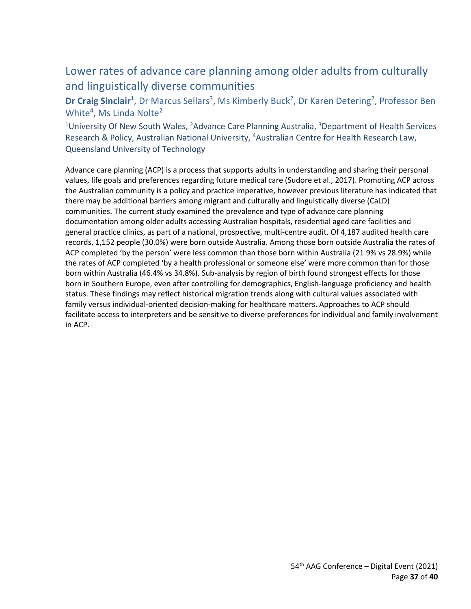## <span id="page-36-0"></span>Lower rates of advance care planning among older adults from culturally and linguistically diverse communities

<span id="page-36-1"></span>Dr Craig Sinclair<sup>1</sup>, Dr Marcus Sellars<sup>3</sup>, Ms Kimberly Buck<sup>2</sup>, Dr Karen Detering<sup>2</sup>, Professor Ben White<sup>4</sup>, Ms Linda Nolte<sup>2</sup>

<span id="page-36-2"></span><sup>1</sup>University Of New South Wales, <sup>2</sup>Advance Care Planning Australia, <sup>3</sup>Department of Health Services Research & Policy, Australian National University, <sup>4</sup>Australian Centre for Health Research Law, Queensland University of Technology

Advance care planning (ACP) is a process that supports adults in understanding and sharing their personal values, life goals and preferences regarding future medical care (Sudore et al., 2017). Promoting ACP across the Australian community is a policy and practice imperative, however previous literature has indicated that there may be additional barriers among migrant and culturally and linguistically diverse (CaLD) communities. The current study examined the prevalence and type of advance care planning documentation among older adults accessing Australian hospitals, residential aged care facilities and general practice clinics, as part of a national, prospective, multi-centre audit. Of 4,187 audited health care records, 1,152 people (30.0%) were born outside Australia. Among those born outside Australia the rates of ACP completed 'by the person' were less common than those born within Australia (21.9% vs 28.9%) while the rates of ACP completed 'by a health professional or someone else' were more common than for those born within Australia (46.4% vs 34.8%). Sub-analysis by region of birth found strongest effects for those born in Southern Europe, even after controlling for demographics, English-language proficiency and health status. These findings may reflect historical migration trends along with cultural values associated with family versus individual-oriented decision-making for healthcare matters. Approaches to ACP should facilitate access to interpreters and be sensitive to diverse preferences for individual and family involvement in ACP.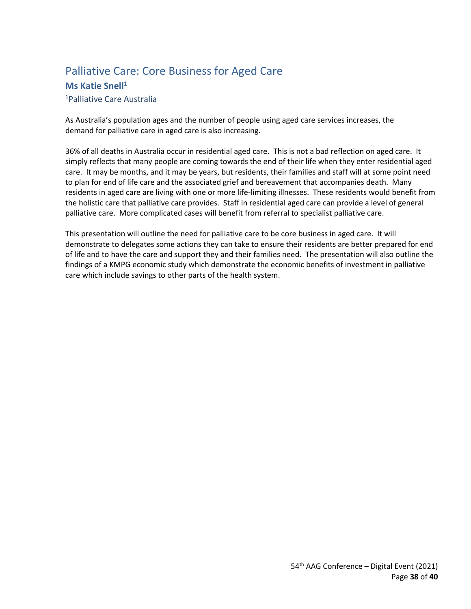## <span id="page-37-0"></span>Palliative Care: Core Business for Aged Care

#### <span id="page-37-1"></span>**Ms Katie Snell<sup>1</sup>**

#### <span id="page-37-2"></span>1Palliative Care Australia

As Australia's population ages and the number of people using aged care services increases, the demand for palliative care in aged care is also increasing.

36% of all deaths in Australia occur in residential aged care. This is not a bad reflection on aged care. It simply reflects that many people are coming towards the end of their life when they enter residential aged care. It may be months, and it may be years, but residents, their families and staff will at some point need to plan for end of life care and the associated grief and bereavement that accompanies death. Many residents in aged care are living with one or more life-limiting illnesses. These residents would benefit from the holistic care that palliative care provides. Staff in residential aged care can provide a level of general palliative care. More complicated cases will benefit from referral to specialist palliative care.

This presentation will outline the need for palliative care to be core business in aged care. It will demonstrate to delegates some actions they can take to ensure their residents are better prepared for end of life and to have the care and support they and their families need. The presentation will also outline the findings of a KMPG economic study which demonstrate the economic benefits of investment in palliative care which include savings to other parts of the health system.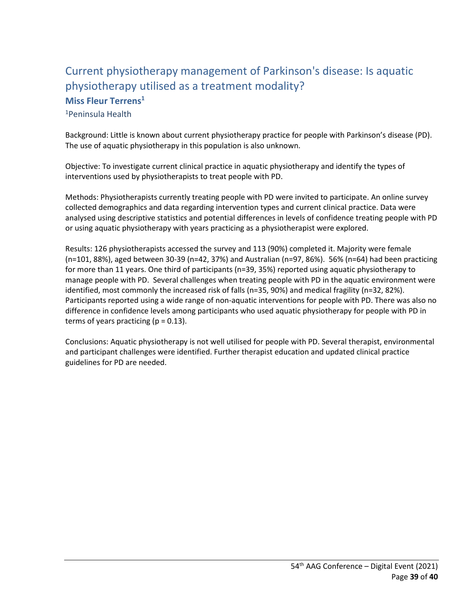## <span id="page-38-1"></span><span id="page-38-0"></span>Current physiotherapy management of Parkinson's disease: Is aquatic physiotherapy utilised as a treatment modality? **Miss Fleur Terrens1** 1Peninsula Health

<span id="page-38-2"></span>Background: Little is known about current physiotherapy practice for people with Parkinson's disease (PD). The use of aquatic physiotherapy in this population is also unknown.

Objective: To investigate current clinical practice in aquatic physiotherapy and identify the types of interventions used by physiotherapists to treat people with PD.

Methods: Physiotherapists currently treating people with PD were invited to participate. An online survey collected demographics and data regarding intervention types and current clinical practice. Data were analysed using descriptive statistics and potential differences in levels of confidence treating people with PD or using aquatic physiotherapy with years practicing as a physiotherapist were explored.

Results: 126 physiotherapists accessed the survey and 113 (90%) completed it. Majority were female (n=101, 88%), aged between 30-39 (n=42, 37%) and Australian (n=97, 86%). 56% (n=64) had been practicing for more than 11 years. One third of participants (n=39, 35%) reported using aquatic physiotherapy to manage people with PD. Several challenges when treating people with PD in the aquatic environment were identified, most commonly the increased risk of falls (n=35, 90%) and medical fragility (n=32, 82%). Participants reported using a wide range of non-aquatic interventions for people with PD. There was also no difference in confidence levels among participants who used aquatic physiotherapy for people with PD in terms of years practicing ( $p = 0.13$ ).

Conclusions: Aquatic physiotherapy is not well utilised for people with PD. Several therapist, environmental and participant challenges were identified. Further therapist education and updated clinical practice guidelines for PD are needed.